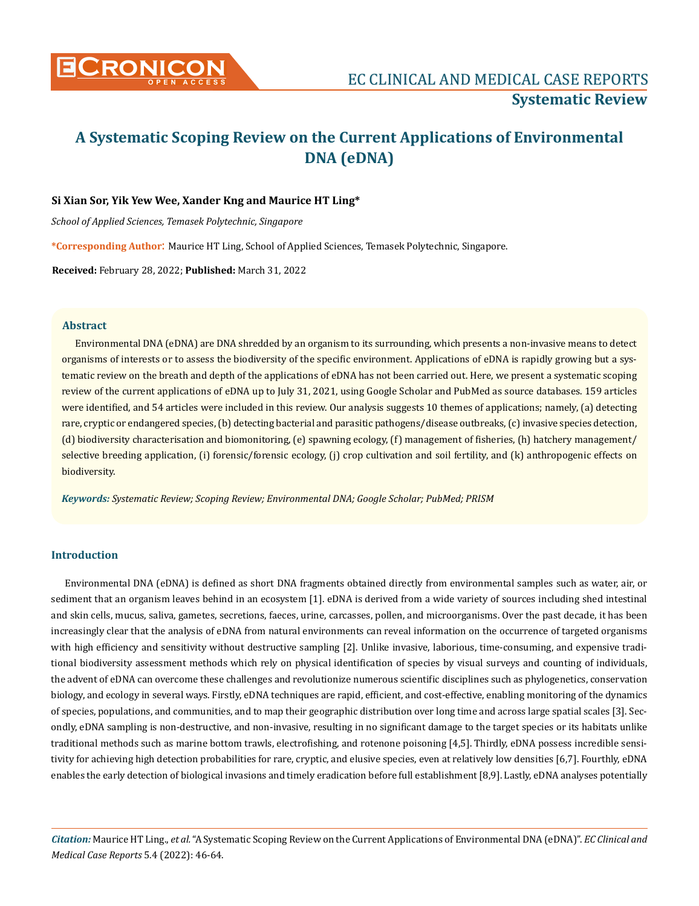

# **A Systematic Scoping Review on the Current Applications of Environmental DNA (eDNA)**

# **Si Xian Sor, Yik Yew Wee, Xander Kng and Maurice HT Ling\***

*School of Applied Sciences, Temasek Polytechnic, Singapore*

**\*Corresponding Author**: Maurice HT Ling, School of Applied Sciences, Temasek Polytechnic, Singapore.

**Received:** February 28, 2022; **Published:** March 31, 2022

## **Abstract**

Environmental DNA (eDNA) are DNA shredded by an organism to its surrounding, which presents a non-invasive means to detect organisms of interests or to assess the biodiversity of the specific environment. Applications of eDNA is rapidly growing but a systematic review on the breath and depth of the applications of eDNA has not been carried out. Here, we present a systematic scoping review of the current applications of eDNA up to July 31, 2021, using Google Scholar and PubMed as source databases. 159 articles were identified, and 54 articles were included in this review. Our analysis suggests 10 themes of applications; namely, (a) detecting rare, cryptic or endangered species, (b) detecting bacterial and parasitic pathogens/disease outbreaks, (c) invasive species detection, (d) biodiversity characterisation and biomonitoring, (e) spawning ecology, (f) management of fisheries, (h) hatchery management/ selective breeding application, (i) forensic/forensic ecology, (j) crop cultivation and soil fertility, and (k) anthropogenic effects on biodiversity.

*Keywords: Systematic Review; Scoping Review; Environmental DNA; Google Scholar; PubMed; PRISM*

# **Introduction**

Environmental DNA (eDNA) is defined as short DNA fragments obtained directly from environmental samples such as water, air, or sediment that an organism leaves behind in an ecosystem [1]. eDNA is derived from a wide variety of sources including shed intestinal and skin cells, mucus, saliva, gametes, secretions, faeces, urine, carcasses, pollen, and microorganisms. Over the past decade, it has been increasingly clear that the analysis of eDNA from natural environments can reveal information on the occurrence of targeted organisms with high efficiency and sensitivity without destructive sampling [2]. Unlike invasive, laborious, time-consuming, and expensive traditional biodiversity assessment methods which rely on physical identification of species by visual surveys and counting of individuals, the advent of eDNA can overcome these challenges and revolutionize numerous scientific disciplines such as phylogenetics, conservation biology, and ecology in several ways. Firstly, eDNA techniques are rapid, efficient, and cost-effective, enabling monitoring of the dynamics of species, populations, and communities, and to map their geographic distribution over long time and across large spatial scales [3]. Secondly, eDNA sampling is non-destructive, and non-invasive, resulting in no significant damage to the target species or its habitats unlike traditional methods such as marine bottom trawls, electrofishing, and rotenone poisoning [4,5]. Thirdly, eDNA possess incredible sensitivity for achieving high detection probabilities for rare, cryptic, and elusive species, even at relatively low densities [6,7]. Fourthly, eDNA enables the early detection of biological invasions and timely eradication before full establishment [8,9]. Lastly, eDNA analyses potentially

*Citation:* Maurice HT Ling., *et al.* "A Systematic Scoping Review on the Current Applications of Environmental DNA (eDNA)". *EC Clinical and Medical Case Reports* 5.4 (2022): 46-64.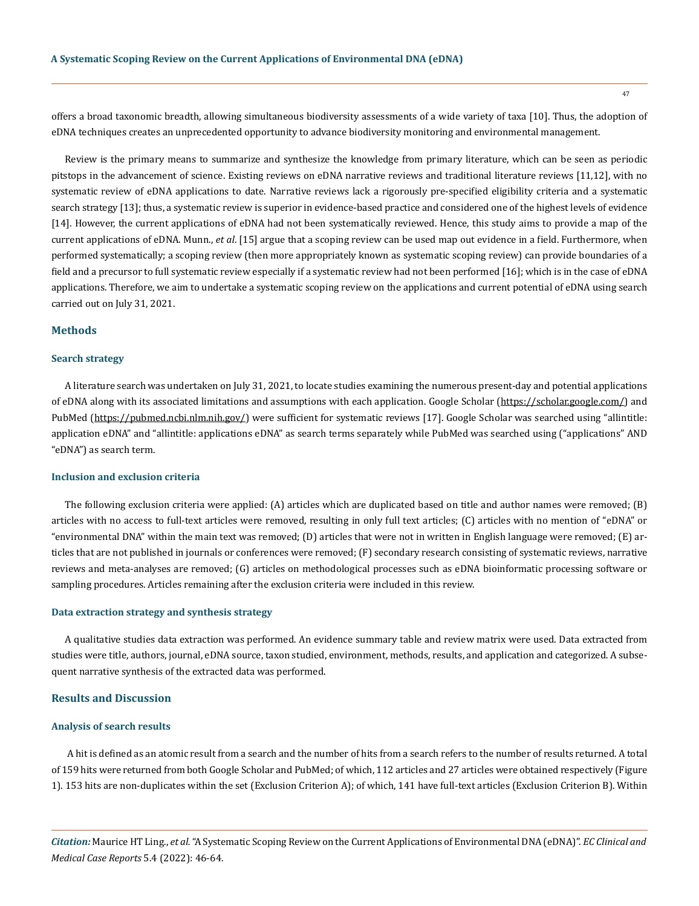offers a broad taxonomic breadth, allowing simultaneous biodiversity assessments of a wide variety of taxa [10]. Thus, the adoption of eDNA techniques creates an unprecedented opportunity to advance biodiversity monitoring and environmental management.

Review is the primary means to summarize and synthesize the knowledge from primary literature, which can be seen as periodic pitstops in the advancement of science. Existing reviews on eDNA narrative reviews and traditional literature reviews [11,12], with no systematic review of eDNA applications to date. Narrative reviews lack a rigorously pre-specified eligibility criteria and a systematic search strategy [13]; thus, a systematic review is superior in evidence-based practice and considered one of the highest levels of evidence [14]. However, the current applications of eDNA had not been systematically reviewed. Hence, this study aims to provide a map of the current applications of eDNA. Munn., *et al*. [15] argue that a scoping review can be used map out evidence in a field. Furthermore, when performed systematically; a scoping review (then more appropriately known as systematic scoping review) can provide boundaries of a field and a precursor to full systematic review especially if a systematic review had not been performed [16]; which is in the case of eDNA applications. Therefore, we aim to undertake a systematic scoping review on the applications and current potential of eDNA using search carried out on July 31, 2021.

# **Methods**

## **Search strategy**

A literature search was undertaken on July 31, 2021, to locate studies examining the numerous present-day and potential applications of eDNA along with its associated limitations and assumptions with each application. Google Scholar ([https://scholar.google.com/\)](https://scholar.google.com/) and PubMed (<https://pubmed.ncbi.nlm.nih.gov/>) were sufficient for systematic reviews [17]. Google Scholar was searched using "allintitle: application eDNA" and "allintitle: applications eDNA" as search terms separately while PubMed was searched using ("applications" AND "eDNA") as search term.

## **Inclusion and exclusion criteria**

The following exclusion criteria were applied: (A) articles which are duplicated based on title and author names were removed; (B) articles with no access to full-text articles were removed, resulting in only full text articles; (C) articles with no mention of "eDNA" or "environmental DNA" within the main text was removed; (D) articles that were not in written in English language were removed; (E) articles that are not published in journals or conferences were removed; (F) secondary research consisting of systematic reviews, narrative reviews and meta-analyses are removed; (G) articles on methodological processes such as eDNA bioinformatic processing software or sampling procedures. Articles remaining after the exclusion criteria were included in this review.

#### **Data extraction strategy and synthesis strategy**

A qualitative studies data extraction was performed. An evidence summary table and review matrix were used. Data extracted from studies were title, authors, journal, eDNA source, taxon studied, environment, methods, results, and application and categorized. A subsequent narrative synthesis of the extracted data was performed.

## **Results and Discussion**

# **Analysis of search results**

 A hit is defined as an atomic result from a search and the number of hits from a search refers to the number of results returned. A total of 159 hits were returned from both Google Scholar and PubMed; of which, 112 articles and 27 articles were obtained respectively (Figure 1). 153 hits are non-duplicates within the set (Exclusion Criterion A); of which, 141 have full-text articles (Exclusion Criterion B). Within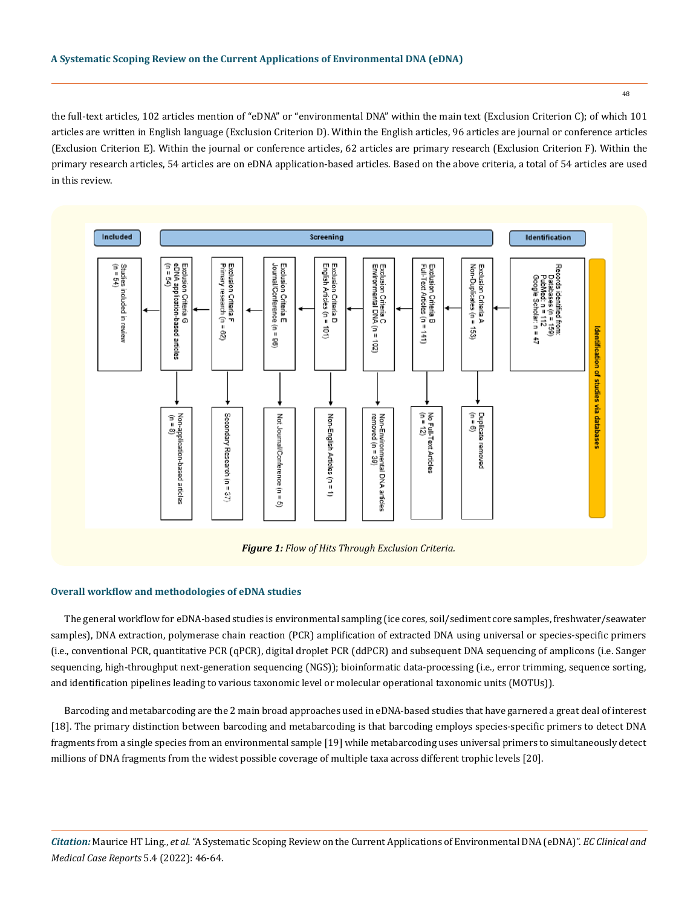the full-text articles, 102 articles mention of "eDNA" or "environmental DNA" within the main text (Exclusion Criterion C); of which 101 articles are written in English language (Exclusion Criterion D). Within the English articles, 96 articles are journal or conference articles (Exclusion Criterion E). Within the journal or conference articles, 62 articles are primary research (Exclusion Criterion F). Within the primary research articles, 54 articles are on eDNA application-based articles. Based on the above criteria, a total of 54 articles are used in this review.



*Figure 1: Flow of Hits Through Exclusion Criteria.*

# **Overall workflow and methodologies of eDNA studies**

The general workflow for eDNA-based studies is environmental sampling (ice cores, soil/sediment core samples, freshwater/seawater samples), DNA extraction, polymerase chain reaction (PCR) amplification of extracted DNA using universal or species-specific primers (i.e., conventional PCR, quantitative PCR (qPCR), digital droplet PCR (ddPCR) and subsequent DNA sequencing of amplicons (i.e. Sanger sequencing, high-throughput next-generation sequencing (NGS)); bioinformatic data-processing (i.e., error trimming, sequence sorting, and identification pipelines leading to various taxonomic level or molecular operational taxonomic units (MOTUs)).

Barcoding and metabarcoding are the 2 main broad approaches used in eDNA-based studies that have garnered a great deal of interest [18]. The primary distinction between barcoding and metabarcoding is that barcoding employs species-specific primers to detect DNA fragments from a single species from an environmental sample [19] while metabarcoding uses universal primers to simultaneously detect millions of DNA fragments from the widest possible coverage of multiple taxa across different trophic levels [20].

*Citation:* Maurice HT Ling., *et al.* "A Systematic Scoping Review on the Current Applications of Environmental DNA (eDNA)". *EC Clinical and Medical Case Reports* 5.4 (2022): 46-64.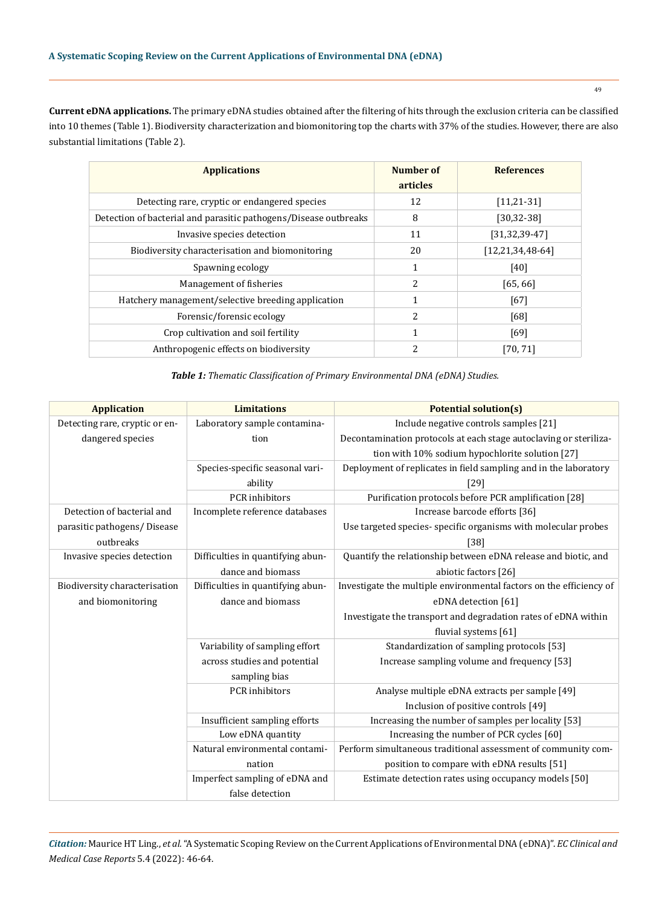**Current eDNA applications.** The primary eDNA studies obtained after the filtering of hits through the exclusion criteria can be classified into 10 themes (Table 1). Biodiversity characterization and biomonitoring top the charts with 37% of the studies. However, there are also substantial limitations (Table 2).

| <b>Applications</b>                                              | Number of<br>articles | <b>References</b>       |
|------------------------------------------------------------------|-----------------------|-------------------------|
| Detecting rare, cryptic or endangered species                    | 12                    | $[11, 21 - 31]$         |
| Detection of bacterial and parasitic pathogens/Disease outbreaks | 8                     | $[30, 32 - 38]$         |
| Invasive species detection                                       | 11                    | $[31, 32, 39 - 47]$     |
| Biodiversity characterisation and biomonitoring                  | 20                    | $[12, 21, 34, 48 - 64]$ |
| Spawning ecology                                                 | 1                     | [40]                    |
| Management of fisheries                                          | 2                     | [65, 66]                |
| Hatchery management/selective breeding application               | 1                     | [67]                    |
| Forensic/forensic ecology                                        | 2                     | [68]                    |
| Crop cultivation and soil fertility                              | 1                     | [69]                    |
| Anthropogenic effects on biodiversity                            | 2                     | [70, 71]                |

*Table 1: Thematic Classification of Primary Environmental DNA (eDNA) Studies.*

| <b>Application</b>             | <b>Limitations</b>                | <b>Potential solution(s)</b>                                        |
|--------------------------------|-----------------------------------|---------------------------------------------------------------------|
| Detecting rare, cryptic or en- | Laboratory sample contamina-      | Include negative controls samples [21]                              |
| dangered species               | tion                              | Decontamination protocols at each stage autoclaving or steriliza-   |
|                                |                                   | tion with 10% sodium hypochlorite solution [27]                     |
|                                | Species-specific seasonal vari-   | Deployment of replicates in field sampling and in the laboratory    |
|                                | ability                           | $[29]$                                                              |
|                                | <b>PCR</b> inhibitors             | Purification protocols before PCR amplification [28]                |
| Detection of bacterial and     | Incomplete reference databases    | Increase barcode efforts [36]                                       |
| parasitic pathogens/ Disease   |                                   | Use targeted species- specific organisms with molecular probes      |
| outbreaks                      |                                   | $[38]$                                                              |
| Invasive species detection     | Difficulties in quantifying abun- | Quantify the relationship between eDNA release and biotic, and      |
|                                | dance and biomass                 | abiotic factors [26]                                                |
| Biodiversity characterisation  | Difficulties in quantifying abun- | Investigate the multiple environmental factors on the efficiency of |
| and biomonitoring              | dance and biomass                 | eDNA detection [61]                                                 |
|                                |                                   | Investigate the transport and degradation rates of eDNA within      |
|                                |                                   | fluvial systems [61]                                                |
|                                | Variability of sampling effort    | Standardization of sampling protocols [53]                          |
|                                | across studies and potential      | Increase sampling volume and frequency [53]                         |
|                                | sampling bias                     |                                                                     |
|                                | PCR inhibitors                    | Analyse multiple eDNA extracts per sample [49]                      |
|                                |                                   | Inclusion of positive controls [49]                                 |
|                                | Insufficient sampling efforts     | Increasing the number of samples per locality [53]                  |
|                                | Low eDNA quantity                 | Increasing the number of PCR cycles [60]                            |
|                                | Natural environmental contami-    | Perform simultaneous traditional assessment of community com-       |
|                                | nation                            | position to compare with eDNA results [51]                          |
|                                | Imperfect sampling of eDNA and    | Estimate detection rates using occupancy models [50]                |
|                                | false detection                   |                                                                     |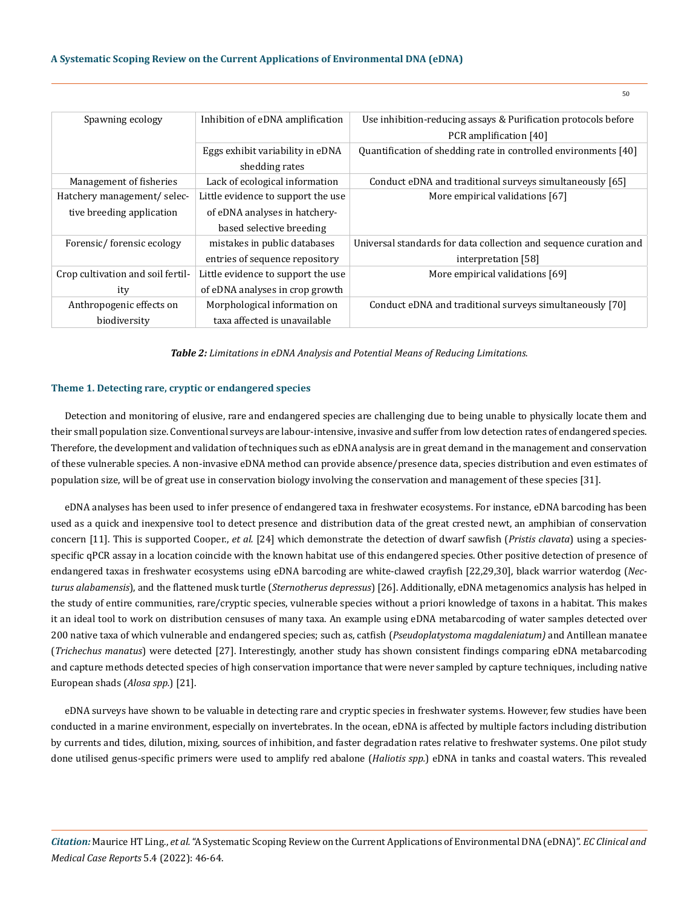| Spawning ecology                  | Inhibition of eDNA amplification                   | Use inhibition-reducing assays & Purification protocols before<br>PCR amplification [40] |
|-----------------------------------|----------------------------------------------------|------------------------------------------------------------------------------------------|
|                                   | Eggs exhibit variability in eDNA<br>shedding rates | Quantification of shedding rate in controlled environments [40]                          |
| Management of fisheries           | Lack of ecological information                     | Conduct eDNA and traditional surveys simultaneously [65]                                 |
| Hatchery management/selec-        | Little evidence to support the use                 | More empirical validations [67]                                                          |
| tive breeding application         | of eDNA analyses in hatchery-                      |                                                                                          |
|                                   | based selective breeding                           |                                                                                          |
| Forensic/forensic ecology         | mistakes in public databases                       | Universal standards for data collection and sequence curation and                        |
|                                   | entries of sequence repository                     | interpretation [58]                                                                      |
| Crop cultivation and soil fertil- | Little evidence to support the use                 | More empirical validations [69]                                                          |
| ity                               | of eDNA analyses in crop growth                    |                                                                                          |
| Anthropogenic effects on          | Morphological information on                       | Conduct eDNA and traditional surveys simultaneously [70]                                 |
| biodiversity                      | taxa affected is unavailable                       |                                                                                          |

*Table 2: Limitations in eDNA Analysis and Potential Means of Reducing Limitations.*

#### **Theme 1. Detecting rare, cryptic or endangered species**

Detection and monitoring of elusive, rare and endangered species are challenging due to being unable to physically locate them and their small population size. Conventional surveys are labour-intensive, invasive and suffer from low detection rates of endangered species. Therefore, the development and validation of techniques such as eDNA analysis are in great demand in the management and conservation of these vulnerable species. A non-invasive eDNA method can provide absence/presence data, species distribution and even estimates of population size, will be of great use in conservation biology involving the conservation and management of these species [31].

eDNA analyses has been used to infer presence of endangered taxa in freshwater ecosystems. For instance, eDNA barcoding has been used as a quick and inexpensive tool to detect presence and distribution data of the great crested newt, an amphibian of conservation concern [11]. This is supported Cooper., *et al.* [24] which demonstrate the detection of dwarf sawfish (*Pristis clavata*) using a speciesspecific qPCR assay in a location coincide with the known habitat use of this endangered species. Other positive detection of presence of endangered taxas in freshwater ecosystems using eDNA barcoding are white-clawed crayfish [22,29,30], black warrior waterdog (*Necturus alabamensis*), and the flattened musk turtle (*Sternotherus depressus*) [26]. Additionally, eDNA metagenomics analysis has helped in the study of entire communities, rare/cryptic species, vulnerable species without a priori knowledge of taxons in a habitat. This makes it an ideal tool to work on distribution censuses of many taxa. An example using eDNA metabarcoding of water samples detected over 200 native taxa of which vulnerable and endangered species; such as, catfish (*Pseudoplatystoma magdaleniatum)* and Antillean manatee (*Trichechus manatus*) were detected [27]. Interestingly, another study has shown consistent findings comparing eDNA metabarcoding and capture methods detected species of high conservation importance that were never sampled by capture techniques, including native European shads (*Alosa spp.*) [21].

eDNA surveys have shown to be valuable in detecting rare and cryptic species in freshwater systems. However, few studies have been conducted in a marine environment, especially on invertebrates. In the ocean, eDNA is affected by multiple factors including distribution by currents and tides, dilution, mixing, sources of inhibition, and faster degradation rates relative to freshwater systems. One pilot study done utilised genus-specific primers were used to amplify red abalone (*Haliotis spp.*) eDNA in tanks and coastal waters. This revealed

*Citation:* Maurice HT Ling., *et al.* "A Systematic Scoping Review on the Current Applications of Environmental DNA (eDNA)". *EC Clinical and Medical Case Reports* 5.4 (2022): 46-64.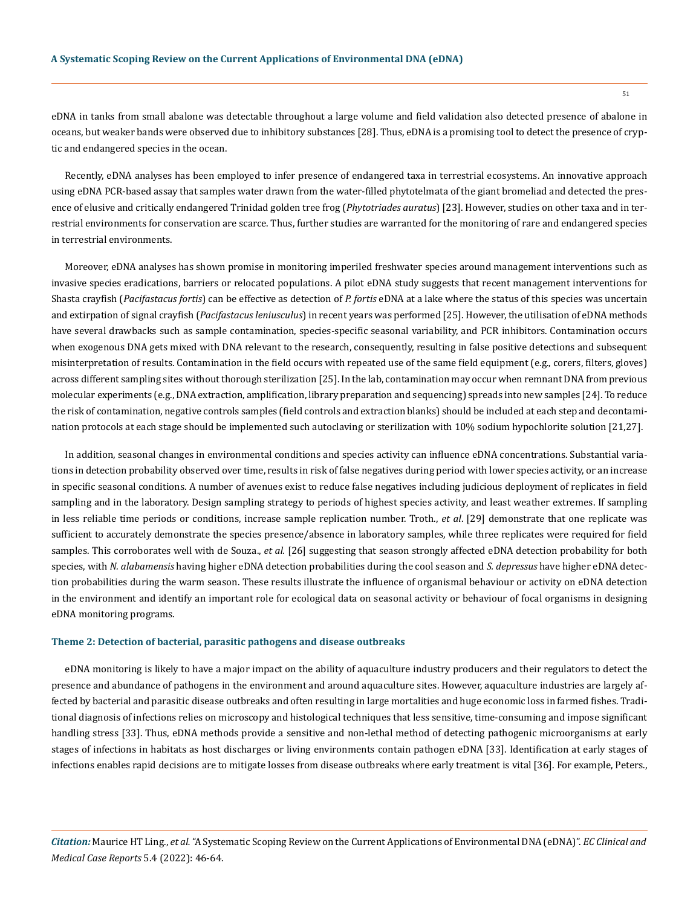eDNA in tanks from small abalone was detectable throughout a large volume and field validation also detected presence of abalone in oceans, but weaker bands were observed due to inhibitory substances [28]. Thus, eDNA is a promising tool to detect the presence of cryptic and endangered species in the ocean.

Recently, eDNA analyses has been employed to infer presence of endangered taxa in terrestrial ecosystems. An innovative approach using eDNA PCR-based assay that samples water drawn from the water-filled phytotelmata of the giant bromeliad and detected the presence of elusive and critically endangered Trinidad golden tree frog (*Phytotriades auratus*) [23]. However, studies on other taxa and in terrestrial environments for conservation are scarce. Thus, further studies are warranted for the monitoring of rare and endangered species in terrestrial environments.

Moreover, eDNA analyses has shown promise in monitoring imperiled freshwater species around management interventions such as invasive species eradications, barriers or relocated populations. A pilot eDNA study suggests that recent management interventions for Shasta crayfish (*Pacifastacus fortis*) can be effective as detection of *P. fortis* eDNA at a lake where the status of this species was uncertain and extirpation of signal crayfish (*Pacifastacus leniusculus*) in recent years was performed [25]. However, the utilisation of eDNA methods have several drawbacks such as sample contamination, species-specific seasonal variability, and PCR inhibitors. Contamination occurs when exogenous DNA gets mixed with DNA relevant to the research, consequently, resulting in false positive detections and subsequent misinterpretation of results. Contamination in the field occurs with repeated use of the same field equipment (e.g., corers, filters, gloves) across different sampling sites without thorough sterilization [25]. In the lab, contamination may occur when remnant DNA from previous molecular experiments (e.g., DNA extraction, amplification, library preparation and sequencing) spreads into new samples [24]. To reduce the risk of contamination, negative controls samples (field controls and extraction blanks) should be included at each step and decontamination protocols at each stage should be implemented such autoclaving or sterilization with 10% sodium hypochlorite solution [21,27].

In addition, seasonal changes in environmental conditions and species activity can influence eDNA concentrations. Substantial variations in detection probability observed over time, results in risk of false negatives during period with lower species activity, or an increase in specific seasonal conditions. A number of avenues exist to reduce false negatives including judicious deployment of replicates in field sampling and in the laboratory. Design sampling strategy to periods of highest species activity, and least weather extremes. If sampling in less reliable time periods or conditions, increase sample replication number. Troth., *et al*. [29] demonstrate that one replicate was sufficient to accurately demonstrate the species presence/absence in laboratory samples, while three replicates were required for field samples. This corroborates well with de Souza., *et al.* [26] suggesting that season strongly affected eDNA detection probability for both species, with *N. alabamensis* having higher eDNA detection probabilities during the cool season and *S. depressus* have higher eDNA detection probabilities during the warm season. These results illustrate the influence of organismal behaviour or activity on eDNA detection in the environment and identify an important role for ecological data on seasonal activity or behaviour of focal organisms in designing eDNA monitoring programs.

#### **Theme 2: Detection of bacterial, parasitic pathogens and disease outbreaks**

eDNA monitoring is likely to have a major impact on the ability of aquaculture industry producers and their regulators to detect the presence and abundance of pathogens in the environment and around aquaculture sites. However, aquaculture industries are largely affected by bacterial and parasitic disease outbreaks and often resulting in large mortalities and huge economic loss in farmed fishes. Traditional diagnosis of infections relies on microscopy and histological techniques that less sensitive, time-consuming and impose significant handling stress [33]. Thus, eDNA methods provide a sensitive and non-lethal method of detecting pathogenic microorganisms at early stages of infections in habitats as host discharges or living environments contain pathogen eDNA [33]. Identification at early stages of infections enables rapid decisions are to mitigate losses from disease outbreaks where early treatment is vital [36]. For example, Peters.,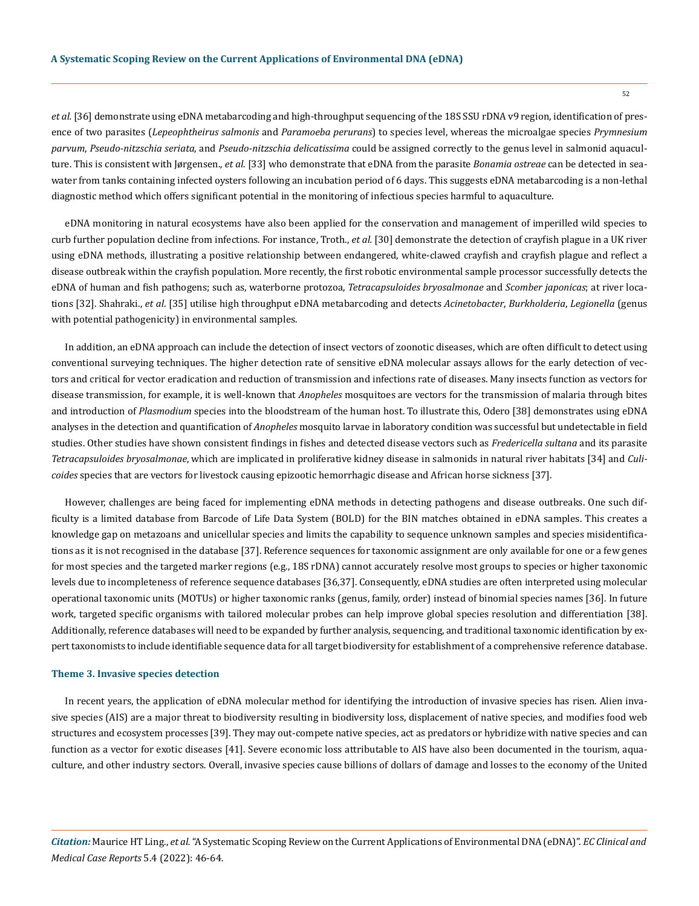*et al.* [36] demonstrate using eDNA metabarcoding and high-throughput sequencing of the 18S SSU rDNA v9 region, identification of presence of two parasites (*Lepeophtheirus salmonis* and *Paramoeba perurans*) to species level, whereas the microalgae species *Prymnesium parvum*, *Pseudo-nitzschia seriata*, and *Pseudo-nitzschia delicatissima* could be assigned correctly to the genus level in salmonid aquaculture. This is consistent with Jørgensen., *et al*. [33] who demonstrate that eDNA from the parasite *Bonamia ostreae* can be detected in seawater from tanks containing infected oysters following an incubation period of 6 days. This suggests eDNA metabarcoding is a non-lethal diagnostic method which offers significant potential in the monitoring of infectious species harmful to aquaculture.

eDNA monitoring in natural ecosystems have also been applied for the conservation and management of imperilled wild species to curb further population decline from infections. For instance, Troth., *et al.* [30] demonstrate the detection of crayfish plague in a UK river using eDNA methods, illustrating a positive relationship between endangered, white-clawed crayfish and crayfish plague and reflect a disease outbreak within the crayfish population. More recently, the first robotic environmental sample processor successfully detects the eDNA of human and fish pathogens; such as, waterborne protozoa, *Tetracapsuloides bryosalmonae* and *Scomber japonicas*; at river locations [32]. Shahraki., *et al*. [35] utilise high throughput eDNA metabarcoding and detects *Acinetobacter*, *Burkholderia*, *Legionella* (genus with potential pathogenicity) in environmental samples.

In addition, an eDNA approach can include the detection of insect vectors of zoonotic diseases, which are often difficult to detect using conventional surveying techniques. The higher detection rate of sensitive eDNA molecular assays allows for the early detection of vectors and critical for vector eradication and reduction of transmission and infections rate of diseases. Many insects function as vectors for disease transmission, for example, it is well-known that *Anopheles* mosquitoes are vectors for the transmission of malaria through bites and introduction of *Plasmodium* species into the bloodstream of the human host. To illustrate this, Odero [38] demonstrates using eDNA analyses in the detection and quantification of *Anopheles* mosquito larvae in laboratory condition was successful but undetectable in field studies. Other studies have shown consistent findings in fishes and detected disease vectors such as *Fredericella sultana* and its parasite *Tetracapsuloides bryosalmonae*, which are implicated in proliferative kidney disease in salmonids in natural river habitats [34] and *Culicoides* species that are vectors for livestock causing epizootic hemorrhagic disease and African horse sickness [37].

However, challenges are being faced for implementing eDNA methods in detecting pathogens and disease outbreaks. One such difficulty is a limited database from Barcode of Life Data System (BOLD) for the BIN matches obtained in eDNA samples. This creates a knowledge gap on metazoans and unicellular species and limits the capability to sequence unknown samples and species misidentifications as it is not recognised in the database [37]. Reference sequences for taxonomic assignment are only available for one or a few genes for most species and the targeted marker regions (e.g., 18S rDNA) cannot accurately resolve most groups to species or higher taxonomic levels due to incompleteness of reference sequence databases [36,37]. Consequently, eDNA studies are often interpreted using molecular operational taxonomic units (MOTUs) or higher taxonomic ranks (genus, family, order) instead of binomial species names [36]. In future work, targeted specific organisms with tailored molecular probes can help improve global species resolution and differentiation [38]. Additionally, reference databases will need to be expanded by further analysis, sequencing, and traditional taxonomic identification by expert taxonomists to include identifiable sequence data for all target biodiversity for establishment of a comprehensive reference database.

#### **Theme 3. Invasive species detection**

In recent years, the application of eDNA molecular method for identifying the introduction of invasive species has risen. Alien invasive species (AIS) are a major threat to biodiversity resulting in biodiversity loss, displacement of native species, and modifies food web structures and ecosystem processes [39]. They may out-compete native species, act as predators or hybridize with native species and can function as a vector for exotic diseases [41]. Severe economic loss attributable to AIS have also been documented in the tourism, aquaculture, and other industry sectors. Overall, invasive species cause billions of dollars of damage and losses to the economy of the United

*Citation:* Maurice HT Ling., *et al.* "A Systematic Scoping Review on the Current Applications of Environmental DNA (eDNA)". *EC Clinical and Medical Case Reports* 5.4 (2022): 46-64.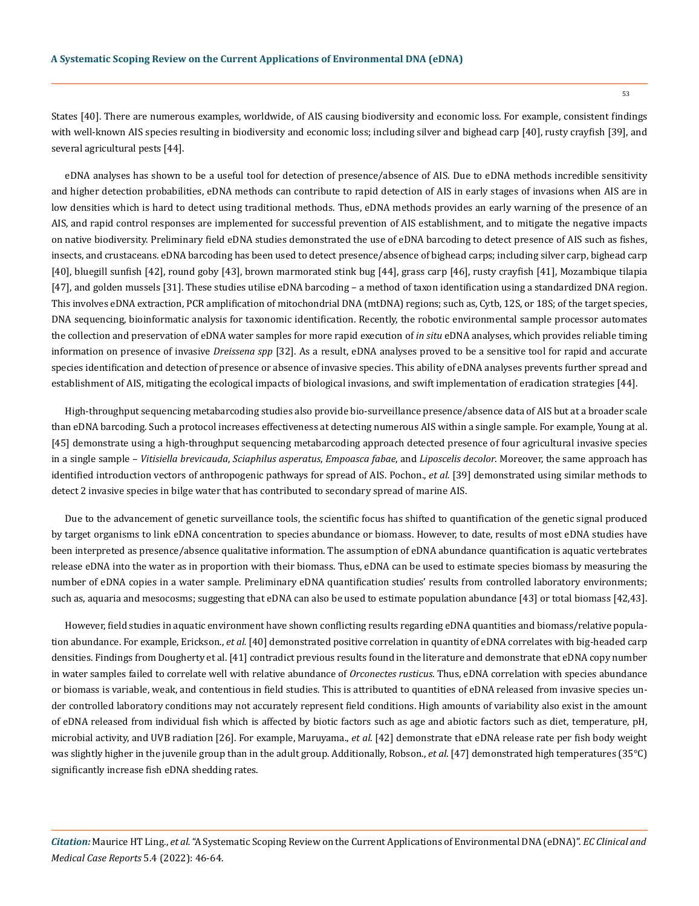States [40]. There are numerous examples, worldwide, of AIS causing biodiversity and economic loss. For example, consistent findings with well-known AIS species resulting in biodiversity and economic loss; including silver and bighead carp [40], rusty crayfish [39], and several agricultural pests [44].

eDNA analyses has shown to be a useful tool for detection of presence/absence of AIS. Due to eDNA methods incredible sensitivity and higher detection probabilities, eDNA methods can contribute to rapid detection of AIS in early stages of invasions when AIS are in low densities which is hard to detect using traditional methods. Thus, eDNA methods provides an early warning of the presence of an AIS, and rapid control responses are implemented for successful prevention of AIS establishment, and to mitigate the negative impacts on native biodiversity. Preliminary field eDNA studies demonstrated the use of eDNA barcoding to detect presence of AIS such as fishes, insects, and crustaceans. eDNA barcoding has been used to detect presence/absence of bighead carps; including silver carp, bighead carp [40], bluegill sunfish [42], round goby [43], brown marmorated stink bug [44], grass carp [46], rusty crayfish [41], Mozambique tilapia [47], and golden mussels [31]. These studies utilise eDNA barcoding – a method of taxon identification using a standardized DNA region. This involves eDNA extraction, PCR amplification of mitochondrial DNA (mtDNA) regions; such as, Cytb, 12S, or 18S; of the target species, DNA sequencing, bioinformatic analysis for taxonomic identification. Recently, the robotic environmental sample processor automates the collection and preservation of eDNA water samples for more rapid execution of *in situ* eDNA analyses, which provides reliable timing information on presence of invasive *Dreissena spp* [32]. As a result, eDNA analyses proved to be a sensitive tool for rapid and accurate species identification and detection of presence or absence of invasive species. This ability of eDNA analyses prevents further spread and establishment of AIS, mitigating the ecological impacts of biological invasions, and swift implementation of eradication strategies [44].

High-throughput sequencing metabarcoding studies also provide bio-surveillance presence/absence data of AIS but at a broader scale than eDNA barcoding. Such a protocol increases effectiveness at detecting numerous AIS within a single sample. For example, Young at al. [45] demonstrate using a high-throughput sequencing metabarcoding approach detected presence of four agricultural invasive species in a single sample – *Vitisiella brevicauda*, *Sciaphilus asperatus*, *Empoasca fabae*, and *Liposcelis decolor*. Moreover, the same approach has identified introduction vectors of anthropogenic pathways for spread of AIS. Pochon., *et al.* [39] demonstrated using similar methods to detect 2 invasive species in bilge water that has contributed to secondary spread of marine AIS.

Due to the advancement of genetic surveillance tools, the scientific focus has shifted to quantification of the genetic signal produced by target organisms to link eDNA concentration to species abundance or biomass. However, to date, results of most eDNA studies have been interpreted as presence/absence qualitative information. The assumption of eDNA abundance quantification is aquatic vertebrates release eDNA into the water as in proportion with their biomass. Thus, eDNA can be used to estimate species biomass by measuring the number of eDNA copies in a water sample. Preliminary eDNA quantification studies' results from controlled laboratory environments; such as, aquaria and mesocosms; suggesting that eDNA can also be used to estimate population abundance [43] or total biomass [42,43].

However, field studies in aquatic environment have shown conflicting results regarding eDNA quantities and biomass/relative population abundance. For example, Erickson., *et al.* [40] demonstrated positive correlation in quantity of eDNA correlates with big-headed carp densities. Findings from Dougherty et al. [41] contradict previous results found in the literature and demonstrate that eDNA copy number in water samples failed to correlate well with relative abundance of *Orconectes rusticus*. Thus, eDNA correlation with species abundance or biomass is variable, weak, and contentious in field studies. This is attributed to quantities of eDNA released from invasive species under controlled laboratory conditions may not accurately represent field conditions. High amounts of variability also exist in the amount of eDNA released from individual fish which is affected by biotic factors such as age and abiotic factors such as diet, temperature, pH, microbial activity, and UVB radiation [26]. For example, Maruyama., *et al*. [42] demonstrate that eDNA release rate per fish body weight was slightly higher in the juvenile group than in the adult group. Additionally, Robson., *et al*. [47] demonstrated high temperatures (35°C) significantly increase fish eDNA shedding rates.

*Citation:* Maurice HT Ling., *et al.* "A Systematic Scoping Review on the Current Applications of Environmental DNA (eDNA)". *EC Clinical and Medical Case Reports* 5.4 (2022): 46-64.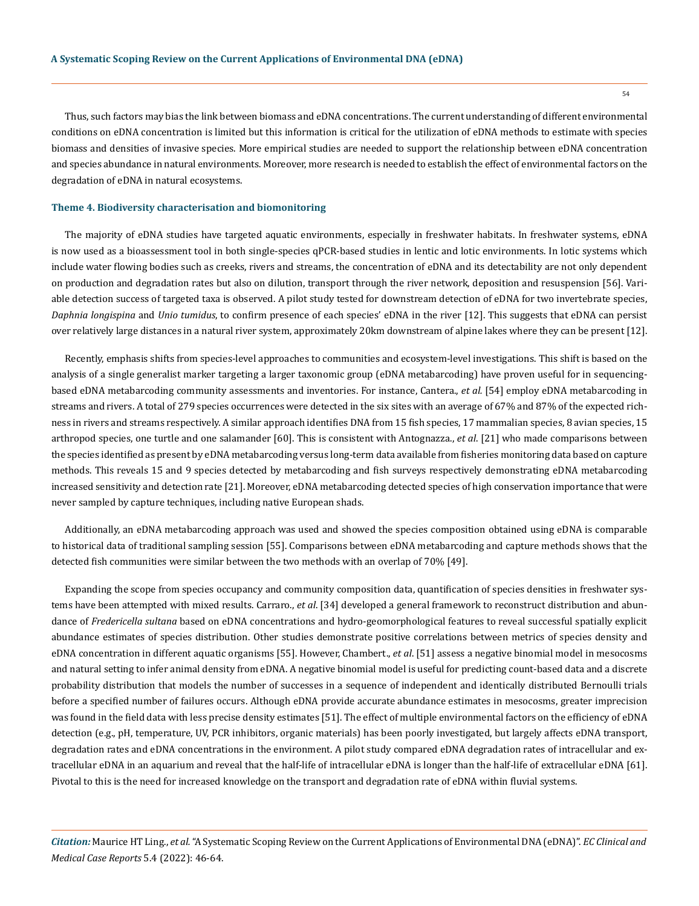Thus, such factors may bias the link between biomass and eDNA concentrations. The current understanding of different environmental conditions on eDNA concentration is limited but this information is critical for the utilization of eDNA methods to estimate with species biomass and densities of invasive species. More empirical studies are needed to support the relationship between eDNA concentration and species abundance in natural environments. Moreover, more research is needed to establish the effect of environmental factors on the degradation of eDNA in natural ecosystems.

#### **Theme 4. Biodiversity characterisation and biomonitoring**

The majority of eDNA studies have targeted aquatic environments, especially in freshwater habitats. In freshwater systems, eDNA is now used as a bioassessment tool in both single-species qPCR-based studies in lentic and lotic environments. In lotic systems which include water flowing bodies such as creeks, rivers and streams, the concentration of eDNA and its detectability are not only dependent on production and degradation rates but also on dilution, transport through the river network, deposition and resuspension [56]. Variable detection success of targeted taxa is observed. A pilot study tested for downstream detection of eDNA for two invertebrate species, *Daphnia longispina* and *Unio tumidus*, to confirm presence of each species' eDNA in the river [12]. This suggests that eDNA can persist over relatively large distances in a natural river system, approximately 20km downstream of alpine lakes where they can be present [12].

Recently, emphasis shifts from species-level approaches to communities and ecosystem-level investigations. This shift is based on the analysis of a single generalist marker targeting a larger taxonomic group (eDNA metabarcoding) have proven useful for in sequencingbased eDNA metabarcoding community assessments and inventories. For instance, Cantera., *et al.* [54] employ eDNA metabarcoding in streams and rivers. A total of 279 species occurrences were detected in the six sites with an average of 67% and 87% of the expected richness in rivers and streams respectively. A similar approach identifies DNA from 15 fish species, 17 mammalian species, 8 avian species, 15 arthropod species, one turtle and one salamander [60]. This is consistent with Antognazza., *et al*. [21] who made comparisons between the species identified as present by eDNA metabarcoding versus long-term data available from fisheries monitoring data based on capture methods. This reveals 15 and 9 species detected by metabarcoding and fish surveys respectively demonstrating eDNA metabarcoding increased sensitivity and detection rate [21]. Moreover, eDNA metabarcoding detected species of high conservation importance that were never sampled by capture techniques, including native European shads.

Additionally, an eDNA metabarcoding approach was used and showed the species composition obtained using eDNA is comparable to historical data of traditional sampling session [55]. Comparisons between eDNA metabarcoding and capture methods shows that the detected fish communities were similar between the two methods with an overlap of 70% [49].

Expanding the scope from species occupancy and community composition data, quantification of species densities in freshwater systems have been attempted with mixed results. Carraro., *et al*. [34] developed a general framework to reconstruct distribution and abundance of *Fredericella sultana* based on eDNA concentrations and hydro-geomorphological features to reveal successful spatially explicit abundance estimates of species distribution. Other studies demonstrate positive correlations between metrics of species density and eDNA concentration in different aquatic organisms [55]. However, Chambert., *et al*. [51] assess a negative binomial model in mesocosms and natural setting to infer animal density from eDNA. A negative binomial model is useful for predicting count-based data and a discrete probability distribution that models the number of successes in a sequence of independent and identically distributed Bernoulli trials before a specified number of failures occurs. Although eDNA provide accurate abundance estimates in mesocosms, greater imprecision was found in the field data with less precise density estimates [51]. The effect of multiple environmental factors on the efficiency of eDNA detection (e.g., pH, temperature, UV, PCR inhibitors, organic materials) has been poorly investigated, but largely affects eDNA transport, degradation rates and eDNA concentrations in the environment. A pilot study compared eDNA degradation rates of intracellular and extracellular eDNA in an aquarium and reveal that the half-life of intracellular eDNA is longer than the half-life of extracellular eDNA [61]. Pivotal to this is the need for increased knowledge on the transport and degradation rate of eDNA within fluvial systems.

*Citation:* Maurice HT Ling., *et al.* "A Systematic Scoping Review on the Current Applications of Environmental DNA (eDNA)". *EC Clinical and Medical Case Reports* 5.4 (2022): 46-64.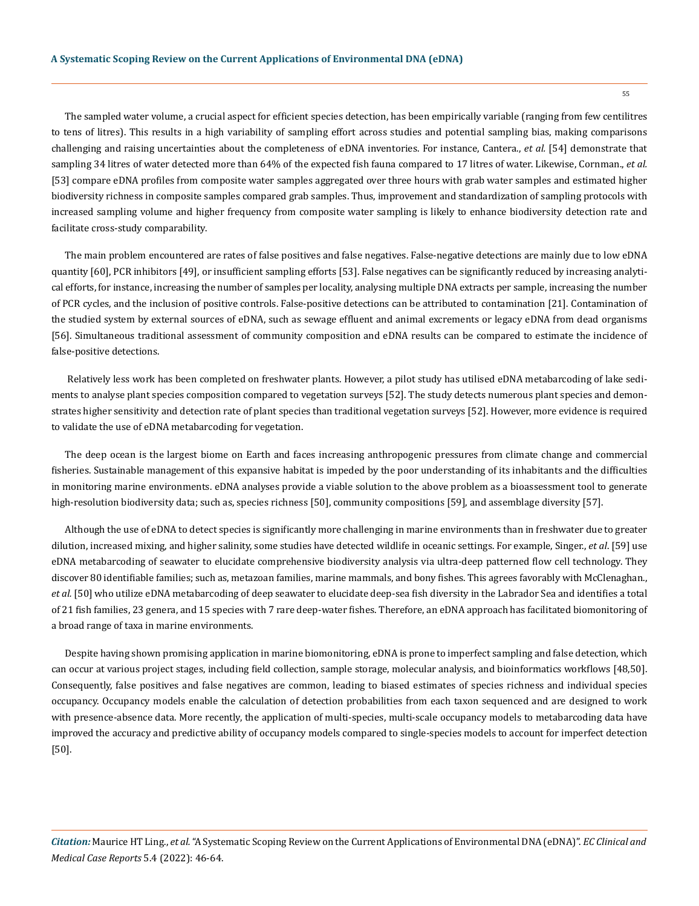The sampled water volume, a crucial aspect for efficient species detection, has been empirically variable (ranging from few centilitres to tens of litres). This results in a high variability of sampling effort across studies and potential sampling bias, making comparisons challenging and raising uncertainties about the completeness of eDNA inventories. For instance, Cantera., *et al.* [54] demonstrate that sampling 34 litres of water detected more than 64% of the expected fish fauna compared to 17 litres of water. Likewise, Cornman., *et al.* [53] compare eDNA profiles from composite water samples aggregated over three hours with grab water samples and estimated higher biodiversity richness in composite samples compared grab samples. Thus, improvement and standardization of sampling protocols with increased sampling volume and higher frequency from composite water sampling is likely to enhance biodiversity detection rate and facilitate cross-study comparability.

The main problem encountered are rates of false positives and false negatives. False-negative detections are mainly due to low eDNA quantity [60], PCR inhibitors [49], or insufficient sampling efforts [53]. False negatives can be significantly reduced by increasing analytical efforts, for instance, increasing the number of samples per locality, analysing multiple DNA extracts per sample, increasing the number of PCR cycles, and the inclusion of positive controls. False-positive detections can be attributed to contamination [21]. Contamination of the studied system by external sources of eDNA, such as sewage effluent and animal excrements or legacy eDNA from dead organisms [56]. Simultaneous traditional assessment of community composition and eDNA results can be compared to estimate the incidence of false-positive detections.

 Relatively less work has been completed on freshwater plants. However, a pilot study has utilised eDNA metabarcoding of lake sediments to analyse plant species composition compared to vegetation surveys [52]. The study detects numerous plant species and demonstrates higher sensitivity and detection rate of plant species than traditional vegetation surveys [52]. However, more evidence is required to validate the use of eDNA metabarcoding for vegetation.

The deep ocean is the largest biome on Earth and faces increasing anthropogenic pressures from climate change and commercial fisheries. Sustainable management of this expansive habitat is impeded by the poor understanding of its inhabitants and the difficulties in monitoring marine environments. eDNA analyses provide a viable solution to the above problem as a bioassessment tool to generate high-resolution biodiversity data; such as, species richness [50], community compositions [59], and assemblage diversity [57].

Although the use of eDNA to detect species is significantly more challenging in marine environments than in freshwater due to greater dilution, increased mixing, and higher salinity, some studies have detected wildlife in oceanic settings. For example, Singer., *et al*. [59] use eDNA metabarcoding of seawater to elucidate comprehensive biodiversity analysis via ultra-deep patterned flow cell technology. They discover 80 identifiable families; such as, metazoan families, marine mammals, and bony fishes. This agrees favorably with McClenaghan., *et al.* [50] who utilize eDNA metabarcoding of deep seawater to elucidate deep-sea fish diversity in the Labrador Sea and identifies a total of 21 fish families, 23 genera, and 15 species with 7 rare deep-water fishes. Therefore, an eDNA approach has facilitated biomonitoring of a broad range of taxa in marine environments.

Despite having shown promising application in marine biomonitoring, eDNA is prone to imperfect sampling and false detection, which can occur at various project stages, including field collection, sample storage, molecular analysis, and bioinformatics workflows [48,50]. Consequently, false positives and false negatives are common, leading to biased estimates of species richness and individual species occupancy. Occupancy models enable the calculation of detection probabilities from each taxon sequenced and are designed to work with presence-absence data. More recently, the application of multi-species, multi-scale occupancy models to metabarcoding data have improved the accuracy and predictive ability of occupancy models compared to single-species models to account for imperfect detection [50].

*Citation:* Maurice HT Ling., *et al.* "A Systematic Scoping Review on the Current Applications of Environmental DNA (eDNA)". *EC Clinical and Medical Case Reports* 5.4 (2022): 46-64.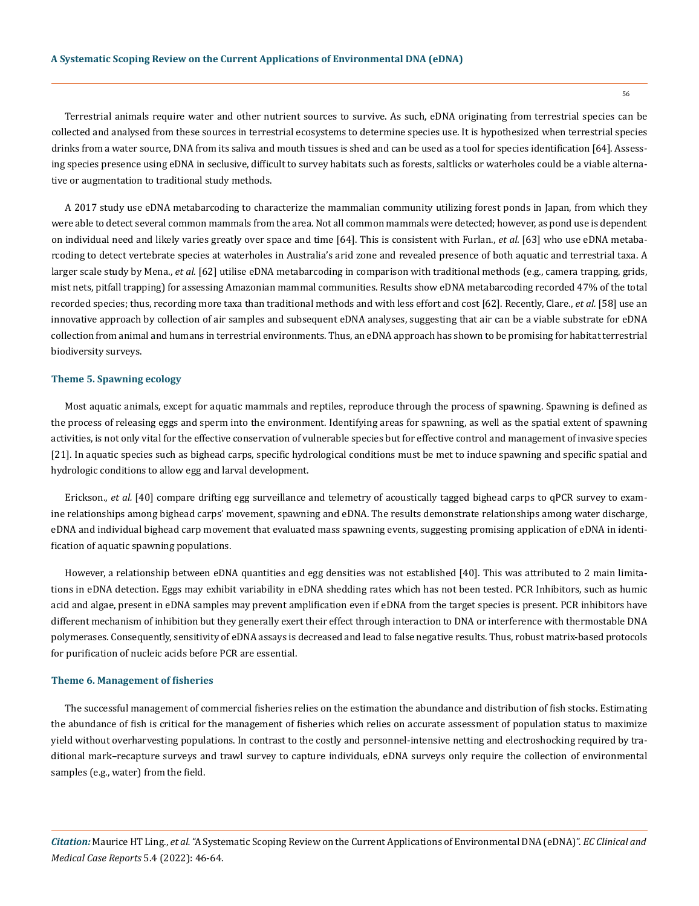Terrestrial animals require water and other nutrient sources to survive. As such, eDNA originating from terrestrial species can be collected and analysed from these sources in terrestrial ecosystems to determine species use. It is hypothesized when terrestrial species drinks from a water source, DNA from its saliva and mouth tissues is shed and can be used as a tool for species identification [64]. Assessing species presence using eDNA in seclusive, difficult to survey habitats such as forests, saltlicks or waterholes could be a viable alternative or augmentation to traditional study methods.

A 2017 study use eDNA metabarcoding to characterize the mammalian community utilizing forest ponds in Japan, from which they were able to detect several common mammals from the area. Not all common mammals were detected; however, as pond use is dependent on individual need and likely varies greatly over space and time [64]. This is consistent with Furlan., *et al.* [63] who use eDNA metabarcoding to detect vertebrate species at waterholes in Australia's arid zone and revealed presence of both aquatic and terrestrial taxa. A larger scale study by Mena., *et al.* [62] utilise eDNA metabarcoding in comparison with traditional methods (e.g., camera trapping, grids, mist nets, pitfall trapping) for assessing Amazonian mammal communities. Results show eDNA metabarcoding recorded 47% of the total recorded species; thus, recording more taxa than traditional methods and with less effort and cost [62]. Recently, Clare., *et al.* [58] use an innovative approach by collection of air samples and subsequent eDNA analyses, suggesting that air can be a viable substrate for eDNA collection from animal and humans in terrestrial environments. Thus, an eDNA approach has shown to be promising for habitat terrestrial biodiversity surveys.

## **Theme 5. Spawning ecology**

Most aquatic animals, except for aquatic mammals and reptiles, reproduce through the process of spawning. Spawning is defined as the process of releasing eggs and sperm into the environment. Identifying areas for spawning, as well as the spatial extent of spawning activities, is not only vital for the effective conservation of vulnerable species but for effective control and management of invasive species [21]. In aquatic species such as bighead carps, specific hydrological conditions must be met to induce spawning and specific spatial and hydrologic conditions to allow egg and larval development.

Erickson., *et al.* [40] compare drifting egg surveillance and telemetry of acoustically tagged bighead carps to qPCR survey to examine relationships among bighead carps' movement, spawning and eDNA. The results demonstrate relationships among water discharge, eDNA and individual bighead carp movement that evaluated mass spawning events, suggesting promising application of eDNA in identification of aquatic spawning populations.

However, a relationship between eDNA quantities and egg densities was not established [40]. This was attributed to 2 main limitations in eDNA detection. Eggs may exhibit variability in eDNA shedding rates which has not been tested. PCR Inhibitors, such as humic acid and algae, present in eDNA samples may prevent amplification even if eDNA from the target species is present. PCR inhibitors have different mechanism of inhibition but they generally exert their effect through interaction to DNA or interference with thermostable DNA polymerases. Consequently, sensitivity of eDNA assays is decreased and lead to false negative results. Thus, robust matrix-based protocols for purification of nucleic acids before PCR are essential.

## **Theme 6. Management of fisheries**

The successful management of commercial fisheries relies on the estimation the abundance and distribution of fish stocks. Estimating the abundance of fish is critical for the management of fisheries which relies on accurate assessment of population status to maximize yield without overharvesting populations. In contrast to the costly and personnel-intensive netting and electroshocking required by traditional mark–recapture surveys and trawl survey to capture individuals, eDNA surveys only require the collection of environmental samples (e.g., water) from the field.

*Citation:* Maurice HT Ling., *et al.* "A Systematic Scoping Review on the Current Applications of Environmental DNA (eDNA)". *EC Clinical and Medical Case Reports* 5.4 (2022): 46-64.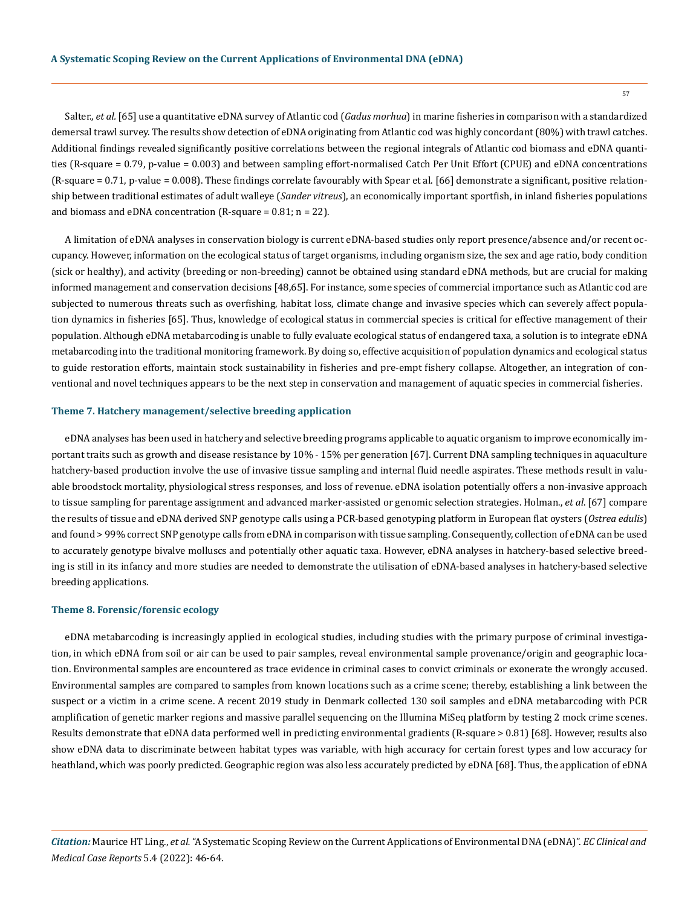Salter., *et al.* [65] use a quantitative eDNA survey of Atlantic cod (*Gadus morhua*) in marine fisheries in comparison with a standardized demersal trawl survey. The results show detection of eDNA originating from Atlantic cod was highly concordant (80%) with trawl catches. Additional findings revealed significantly positive correlations between the regional integrals of Atlantic cod biomass and eDNA quantities (R-square = 0.79, p-value = 0.003) and between sampling effort-normalised Catch Per Unit Effort (CPUE) and eDNA concentrations (R-square = 0.71, p-value = 0.008). These findings correlate favourably with Spear et al. [66] demonstrate a significant, positive relationship between traditional estimates of adult walleye (*Sander vitreus*), an economically important sportfish, in inland fisheries populations and biomass and eDNA concentration (R-square =  $0.81$ ; n =  $22$ ).

A limitation of eDNA analyses in conservation biology is current eDNA-based studies only report presence/absence and/or recent occupancy. However, information on the ecological status of target organisms, including organism size, the sex and age ratio, body condition (sick or healthy), and activity (breeding or non-breeding) cannot be obtained using standard eDNA methods, but are crucial for making informed management and conservation decisions [48,65]. For instance, some species of commercial importance such as Atlantic cod are subjected to numerous threats such as overfishing, habitat loss, climate change and invasive species which can severely affect population dynamics in fisheries [65]. Thus, knowledge of ecological status in commercial species is critical for effective management of their population. Although eDNA metabarcoding is unable to fully evaluate ecological status of endangered taxa, a solution is to integrate eDNA metabarcoding into the traditional monitoring framework. By doing so, effective acquisition of population dynamics and ecological status to guide restoration efforts, maintain stock sustainability in fisheries and pre-empt fishery collapse. Altogether, an integration of conventional and novel techniques appears to be the next step in conservation and management of aquatic species in commercial fisheries.

#### **Theme 7. Hatchery management/selective breeding application**

eDNA analyses has been used in hatchery and selective breeding programs applicable to aquatic organism to improve economically important traits such as growth and disease resistance by 10% - 15% per generation [67]. Current DNA sampling techniques in aquaculture hatchery-based production involve the use of invasive tissue sampling and internal fluid needle aspirates. These methods result in valuable broodstock mortality, physiological stress responses, and loss of revenue. eDNA isolation potentially offers a non-invasive approach to tissue sampling for parentage assignment and advanced marker-assisted or genomic selection strategies. Holman., *et al*. [67] compare the results of tissue and eDNA derived SNP genotype calls using a PCR-based genotyping platform in European flat oysters (*Ostrea edulis*) and found > 99% correct SNP genotype calls from eDNA in comparison with tissue sampling. Consequently, collection of eDNA can be used to accurately genotype bivalve molluscs and potentially other aquatic taxa. However, eDNA analyses in hatchery-based selective breeding is still in its infancy and more studies are needed to demonstrate the utilisation of eDNA-based analyses in hatchery-based selective breeding applications.

#### **Theme 8. Forensic/forensic ecology**

eDNA metabarcoding is increasingly applied in ecological studies, including studies with the primary purpose of criminal investigation, in which eDNA from soil or air can be used to pair samples, reveal environmental sample provenance/origin and geographic location. Environmental samples are encountered as trace evidence in criminal cases to convict criminals or exonerate the wrongly accused. Environmental samples are compared to samples from known locations such as a crime scene; thereby, establishing a link between the suspect or a victim in a crime scene. A recent 2019 study in Denmark collected 130 soil samples and eDNA metabarcoding with PCR amplification of genetic marker regions and massive parallel sequencing on the Illumina MiSeq platform by testing 2 mock crime scenes. Results demonstrate that eDNA data performed well in predicting environmental gradients (R-square > 0.81) [68]. However, results also show eDNA data to discriminate between habitat types was variable, with high accuracy for certain forest types and low accuracy for heathland, which was poorly predicted. Geographic region was also less accurately predicted by eDNA [68]. Thus, the application of eDNA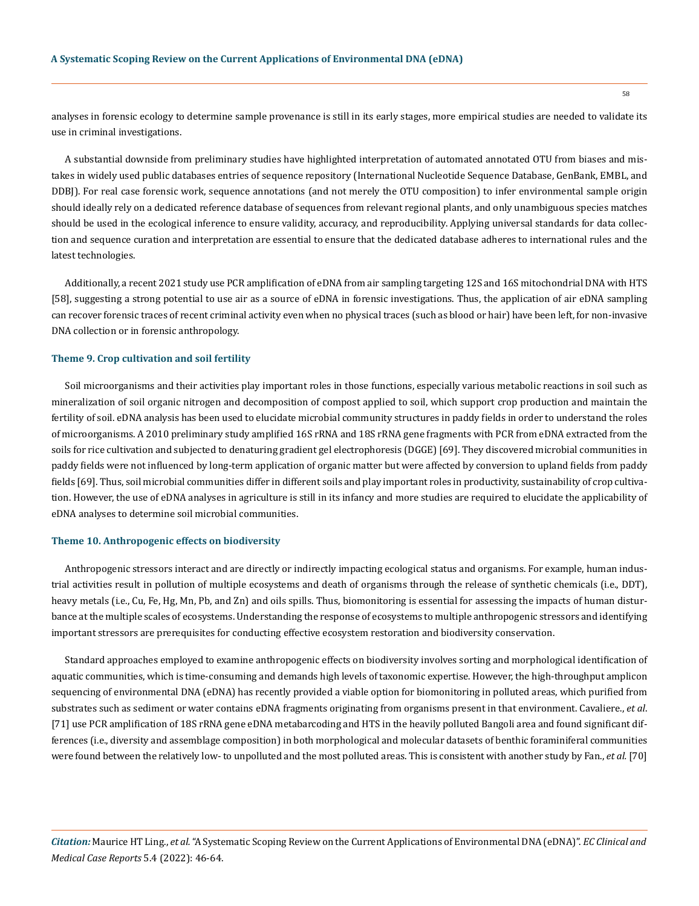analyses in forensic ecology to determine sample provenance is still in its early stages, more empirical studies are needed to validate its use in criminal investigations.

A substantial downside from preliminary studies have highlighted interpretation of automated annotated OTU from biases and mistakes in widely used public databases entries of sequence repository (International Nucleotide Sequence Database, GenBank, EMBL, and DDBJ). For real case forensic work, sequence annotations (and not merely the OTU composition) to infer environmental sample origin should ideally rely on a dedicated reference database of sequences from relevant regional plants, and only unambiguous species matches should be used in the ecological inference to ensure validity, accuracy, and reproducibility. Applying universal standards for data collection and sequence curation and interpretation are essential to ensure that the dedicated database adheres to international rules and the latest technologies.

Additionally, a recent 2021 study use PCR amplification of eDNA from air sampling targeting 12S and 16S mitochondrial DNA with HTS [58], suggesting a strong potential to use air as a source of eDNA in forensic investigations. Thus, the application of air eDNA sampling can recover forensic traces of recent criminal activity even when no physical traces (such as blood or hair) have been left, for non-invasive DNA collection or in forensic anthropology.

#### **Theme 9. Crop cultivation and soil fertility**

Soil microorganisms and their activities play important roles in those functions, especially various metabolic reactions in soil such as mineralization of soil organic nitrogen and decomposition of compost applied to soil, which support crop production and maintain the fertility of soil. eDNA analysis has been used to elucidate microbial community structures in paddy fields in order to understand the roles of microorganisms. A 2010 preliminary study amplified 16S rRNA and 18S rRNA gene fragments with PCR from eDNA extracted from the soils for rice cultivation and subjected to denaturing gradient gel electrophoresis (DGGE) [69]. They discovered microbial communities in paddy fields were not influenced by long-term application of organic matter but were affected by conversion to upland fields from paddy fields [69]. Thus, soil microbial communities differ in different soils and play important roles in productivity, sustainability of crop cultivation. However, the use of eDNA analyses in agriculture is still in its infancy and more studies are required to elucidate the applicability of eDNA analyses to determine soil microbial communities.

#### **Theme 10. Anthropogenic effects on biodiversity**

Anthropogenic stressors interact and are directly or indirectly impacting ecological status and organisms. For example, human industrial activities result in pollution of multiple ecosystems and death of organisms through the release of synthetic chemicals (i.e., DDT), heavy metals (i.e., Cu, Fe, Hg, Mn, Pb, and Zn) and oils spills. Thus, biomonitoring is essential for assessing the impacts of human disturbance at the multiple scales of ecosystems. Understanding the response of ecosystems to multiple anthropogenic stressors and identifying important stressors are prerequisites for conducting effective ecosystem restoration and biodiversity conservation.

Standard approaches employed to examine anthropogenic effects on biodiversity involves sorting and morphological identification of aquatic communities, which is time-consuming and demands high levels of taxonomic expertise. However, the high-throughput amplicon sequencing of environmental DNA (eDNA) has recently provided a viable option for biomonitoring in polluted areas, which purified from substrates such as sediment or water contains eDNA fragments originating from organisms present in that environment. Cavaliere., *et al*. [71] use PCR amplification of 18S rRNA gene eDNA metabarcoding and HTS in the heavily polluted Bangoli area and found significant differences (i.e., diversity and assemblage composition) in both morphological and molecular datasets of benthic foraminiferal communities were found between the relatively low- to unpolluted and the most polluted areas. This is consistent with another study by Fan., *et al.* [70]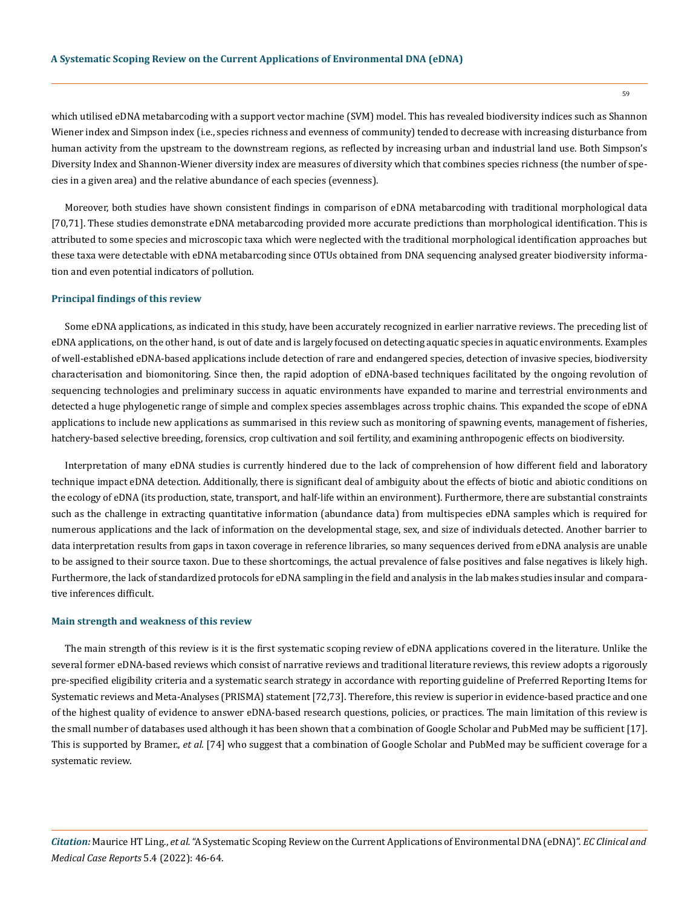which utilised eDNA metabarcoding with a support vector machine (SVM) model. This has revealed biodiversity indices such as Shannon Wiener index and Simpson index (i.e., species richness and evenness of community) tended to decrease with increasing disturbance from human activity from the upstream to the downstream regions, as reflected by increasing urban and industrial land use. Both Simpson's Diversity Index and Shannon-Wiener diversity index are measures of diversity which that combines species richness (the number of species in a given area) and the relative abundance of each species (evenness).

Moreover, both studies have shown consistent findings in comparison of eDNA metabarcoding with traditional morphological data [70,71]. These studies demonstrate eDNA metabarcoding provided more accurate predictions than morphological identification. This is attributed to some species and microscopic taxa which were neglected with the traditional morphological identification approaches but these taxa were detectable with eDNA metabarcoding since OTUs obtained from DNA sequencing analysed greater biodiversity information and even potential indicators of pollution.

# **Principal findings of this review**

Some eDNA applications, as indicated in this study, have been accurately recognized in earlier narrative reviews. The preceding list of eDNA applications, on the other hand, is out of date and is largely focused on detecting aquatic species in aquatic environments. Examples of well-established eDNA-based applications include detection of rare and endangered species, detection of invasive species, biodiversity characterisation and biomonitoring. Since then, the rapid adoption of eDNA-based techniques facilitated by the ongoing revolution of sequencing technologies and preliminary success in aquatic environments have expanded to marine and terrestrial environments and detected a huge phylogenetic range of simple and complex species assemblages across trophic chains. This expanded the scope of eDNA applications to include new applications as summarised in this review such as monitoring of spawning events, management of fisheries, hatchery-based selective breeding, forensics, crop cultivation and soil fertility, and examining anthropogenic effects on biodiversity.

Interpretation of many eDNA studies is currently hindered due to the lack of comprehension of how different field and laboratory technique impact eDNA detection. Additionally, there is significant deal of ambiguity about the effects of biotic and abiotic conditions on the ecology of eDNA (its production, state, transport, and half-life within an environment). Furthermore, there are substantial constraints such as the challenge in extracting quantitative information (abundance data) from multispecies eDNA samples which is required for numerous applications and the lack of information on the developmental stage, sex, and size of individuals detected. Another barrier to data interpretation results from gaps in taxon coverage in reference libraries, so many sequences derived from eDNA analysis are unable to be assigned to their source taxon. Due to these shortcomings, the actual prevalence of false positives and false negatives is likely high. Furthermore, the lack of standardized protocols for eDNA sampling in the field and analysis in the lab makes studies insular and comparative inferences difficult.

#### **Main strength and weakness of this review**

The main strength of this review is it is the first systematic scoping review of eDNA applications covered in the literature. Unlike the several former eDNA-based reviews which consist of narrative reviews and traditional literature reviews, this review adopts a rigorously pre-specified eligibility criteria and a systematic search strategy in accordance with reporting guideline of Preferred Reporting Items for Systematic reviews and Meta-Analyses (PRISMA) statement [72,73]. Therefore, this review is superior in evidence-based practice and one of the highest quality of evidence to answer eDNA-based research questions, policies, or practices. The main limitation of this review is the small number of databases used although it has been shown that a combination of Google Scholar and PubMed may be sufficient [17]. This is supported by Bramer., *et al.* [74] who suggest that a combination of Google Scholar and PubMed may be sufficient coverage for a systematic review.

*Citation:* Maurice HT Ling., *et al.* "A Systematic Scoping Review on the Current Applications of Environmental DNA (eDNA)". *EC Clinical and Medical Case Reports* 5.4 (2022): 46-64.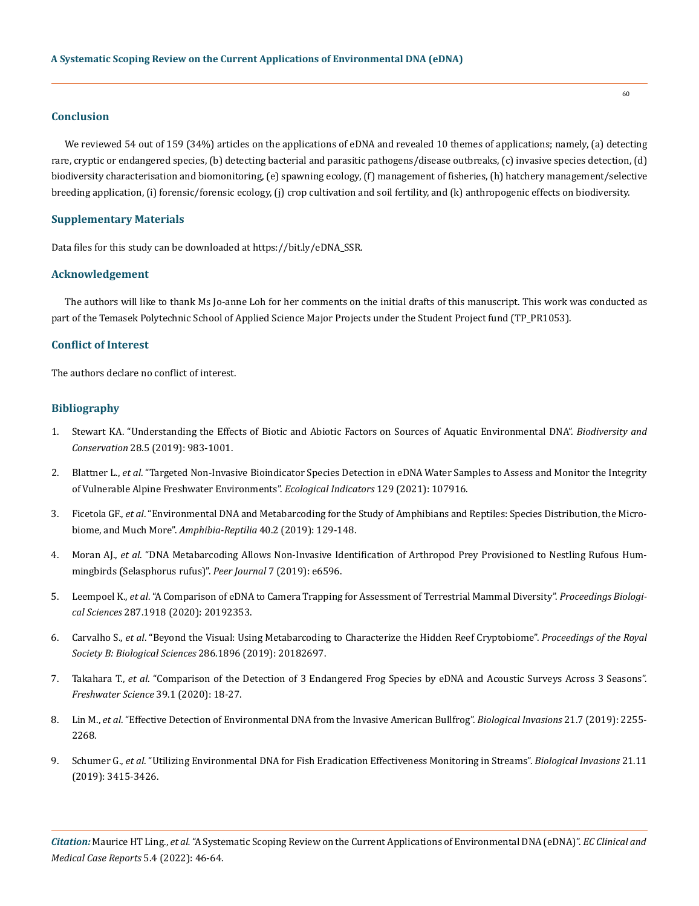# **Conclusion**

We reviewed 54 out of 159 (34%) articles on the applications of eDNA and revealed 10 themes of applications; namely, (a) detecting rare, cryptic or endangered species, (b) detecting bacterial and parasitic pathogens/disease outbreaks, (c) invasive species detection, (d) biodiversity characterisation and biomonitoring, (e) spawning ecology, (f) management of fisheries, (h) hatchery management/selective breeding application, (i) forensic/forensic ecology, (j) crop cultivation and soil fertility, and (k) anthropogenic effects on biodiversity.

## **Supplementary Materials**

Data files for this study can be downloaded at [https://bit.ly/eDNA\\_SSR.](https://bit.ly/eDNA_SSR)

# **Acknowledgement**

The authors will like to thank Ms Jo-anne Loh for her comments on the initial drafts of this manuscript. This work was conducted as part of the Temasek Polytechnic School of Applied Science Major Projects under the Student Project fund (TP\_PR1053).

# **Conflict of Interest**

The authors declare no conflict of interest.

# **Bibliography**

- 1. [Stewart KA. "Understanding the Effects of Biotic and Abiotic Factors on Sources of Aquatic Environmental DNA".](https://link.springer.com/article/10.1007/s10531-019-01709-8) *Biodiversity and Conservation* [28.5 \(2019\): 983-1001.](https://link.springer.com/article/10.1007/s10531-019-01709-8)
- 2. Blattner L., *et al*[. "Targeted Non-Invasive Bioindicator Species Detection in eDNA Water Samples to Assess and Monitor the Integrity](https://www.sciencedirect.com/science/article/pii/S1470160X21005811)  [of Vulnerable Alpine Freshwater Environments".](https://www.sciencedirect.com/science/article/pii/S1470160X21005811) *Ecological Indicators* 129 (2021): 107916.
- 3. Ficetola GF., *et al*[. "Environmental DNA and Metabarcoding for the Study of Amphibians and Reptiles: Species Distribution, the Micro](https://brill.com/view/journals/amre/40/2/article-p129_1.xml?language=en)[biome, and Much More".](https://brill.com/view/journals/amre/40/2/article-p129_1.xml?language=en) *Amphibia-Reptilia* 40.2 (2019): 129-148.
- 4. Moran AJ., *et al*[. "DNA Metabarcoding Allows Non-Invasive Identification of Arthropod Prey Provisioned to Nestling Rufous Hum](https://peerj.com/articles/6596/)[mingbirds \(Selasphorus rufus\)".](https://peerj.com/articles/6596/) *Peer Journal* 7 (2019): e6596.
- 5. Leempoel K., *et al*[. "A Comparison of eDNA to Camera Trapping for Assessment of Terrestrial Mammal Diversity".](https://royalsocietypublishing.org/doi/10.1098/rspb.2019.2353) *Proceedings Biological Sciences* [287.1918 \(2020\): 20192353.](https://royalsocietypublishing.org/doi/10.1098/rspb.2019.2353)
- 6. Carvalho S., *et al*[. "Beyond the Visual: Using Metabarcoding to Characterize the Hidden Reef Cryptobiome".](https://royalsocietypublishing.org/doi/10.1098/rspb.2018.2697) *Proceedings of the Royal [Society B: Biological Sciences](https://royalsocietypublishing.org/doi/10.1098/rspb.2018.2697)* 286.1896 (2019): 20182697.
- 7. Takahara T., *et al*[. "Comparison of the Detection of 3 Endangered Frog Species by eDNA and Acoustic Surveys Across 3 Seasons".](https://www.journals.uchicago.edu/doi/10.1086/707365)  *[Freshwater Science](https://www.journals.uchicago.edu/doi/10.1086/707365)* 39.1 (2020): 18-27.
- 8. Lin M., *et al*[. "Effective Detection of Environmental DNA from the Invasive American Bullfrog".](https://agris.fao.org/agris-search/search.do?recordID=US201900368352) *Biological Invasions* 21.7 (2019): 2255- [2268.](https://agris.fao.org/agris-search/search.do?recordID=US201900368352)
- 9. Schumer G., *et al*[. "Utilizing Environmental DNA for Fish Eradication Effectiveness Monitoring in Streams".](https://web.p.ebscohost.com/abstract?direct=true&profile=ehost&scope=site&authtype=crawler&jrnl=13873547&AN=138812175&h=28KTxQsCXgwDb13uj%2bp07GNPo9VBW%2bM3VyOG30yP1FCOuKqADwaJYHIRqZmeeMTtsilhp15IzOo13ihk%2f%2fTTOQ%3d%3d&crl=c&resultNs=AdminWebAuth&resultLocal=ErrCrlNotAuth&crlhashurl=login.aspx%3fdirect%3dtrue%26profile%3dehost%26scope%3dsite%26authtype%3dcrawler%26jrnl%3d13873547%26AN%3d138812175) *Biological Invasions* 21.11 [\(2019\): 3415-3426.](https://web.p.ebscohost.com/abstract?direct=true&profile=ehost&scope=site&authtype=crawler&jrnl=13873547&AN=138812175&h=28KTxQsCXgwDb13uj%2bp07GNPo9VBW%2bM3VyOG30yP1FCOuKqADwaJYHIRqZmeeMTtsilhp15IzOo13ihk%2f%2fTTOQ%3d%3d&crl=c&resultNs=AdminWebAuth&resultLocal=ErrCrlNotAuth&crlhashurl=login.aspx%3fdirect%3dtrue%26profile%3dehost%26scope%3dsite%26authtype%3dcrawler%26jrnl%3d13873547%26AN%3d138812175)

*Citation:* Maurice HT Ling., *et al.* "A Systematic Scoping Review on the Current Applications of Environmental DNA (eDNA)". *EC Clinical and Medical Case Reports* 5.4 (2022): 46-64.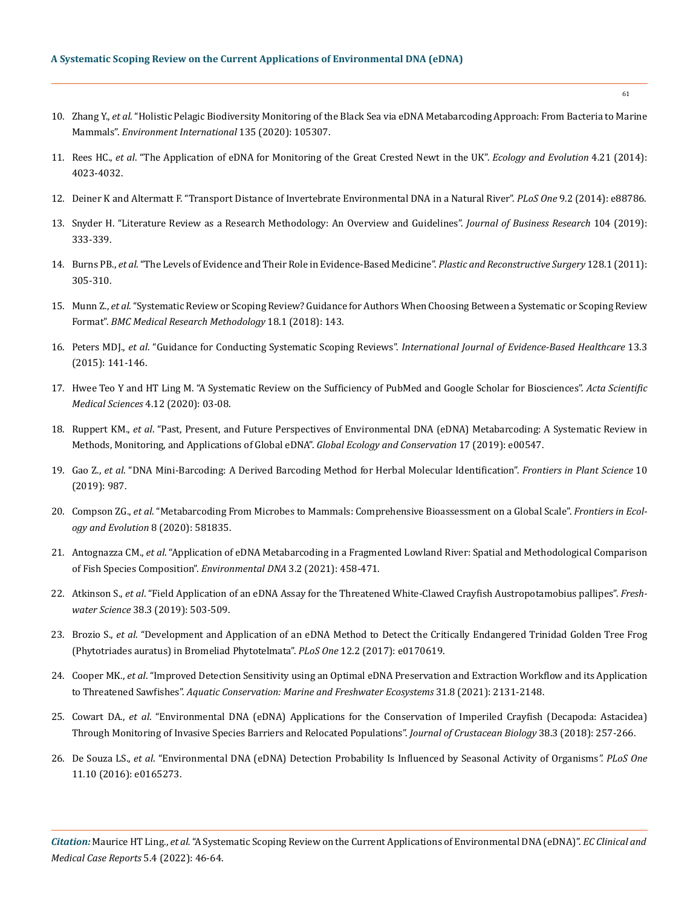- 10. Zhang Y., *et al*[. "Holistic Pelagic Biodiversity Monitoring of the Black Sea via eDNA Metabarcoding Approach: From Bacteria to Marine](https://www.sciencedirect.com/science/article/pii/S0160412019322317) Mammals". *[Environment International](https://www.sciencedirect.com/science/article/pii/S0160412019322317)* 135 (2020): 105307.
- 11. Rees HC., *et al*[. "The Application of eDNA for Monitoring of the Great Crested Newt in the UK".](https://pubmed.ncbi.nlm.nih.gov/25505530/) *Ecology and Evolution* 4.21 (2014): [4023-4032.](https://pubmed.ncbi.nlm.nih.gov/25505530/)
- 12. [Deiner K and Altermatt F. "Transport Distance of Invertebrate Environmental DNA in a Natural River".](https://journals.plos.org/plosone/article?id=10.1371/journal.pone.0088786) *PLoS One* 9.2 (2014): e88786.
- 13. [Snyder H. "Literature Review as a Research Methodology: An Overview and Guidelines".](https://www.sciencedirect.com/science/article/pii/S0148296319304564) *Journal of Business Research* 104 (2019): [333-339.](https://www.sciencedirect.com/science/article/pii/S0148296319304564)
- 14. Burns PB., *et al*[. "The Levels of Evidence and Their Role in Evidence-Based Medicine".](https://www.ncbi.nlm.nih.gov/pmc/articles/PMC3124652/) *Plastic and Reconstructive Surgery* 128.1 (2011): [305-310.](https://www.ncbi.nlm.nih.gov/pmc/articles/PMC3124652/)
- 15. Munn Z., *et al*[. "Systematic Review or Scoping Review? Guidance for Authors When Choosing Between a Systematic or Scoping Review](https://bmcmedresmethodol.biomedcentral.com/articles/10.1186/s12874-018-0611-x) Format". *[BMC Medical Research Methodology](https://bmcmedresmethodol.biomedcentral.com/articles/10.1186/s12874-018-0611-x)* 18.1 (2018): 143.
- 16. Peters MDJ., *et al*. "Guidance for Conducting Systematic Scoping Reviews". *[International Journal of Evidence-Based Healthcare](https://journals.lww.com/ijebh/fulltext/2015/09000/guidance_for_conducting_systematic_scoping_reviews.5.aspx)* 13.3 [\(2015\): 141-146.](https://journals.lww.com/ijebh/fulltext/2015/09000/guidance_for_conducting_systematic_scoping_reviews.5.aspx)
- 17. [Hwee Teo Y and HT Ling M. "A Systematic Review on the Sufficiency of PubMed and Google Scholar for Biosciences".](https://www.researchgate.net/publication/347296920_A_Systematic_Review_on_the_Sufficiency_of_PubMed_and_Google_Scholar_for_Biosciences) *Acta Scientific [Medical Sciences](https://www.researchgate.net/publication/347296920_A_Systematic_Review_on_the_Sufficiency_of_PubMed_and_Google_Scholar_for_Biosciences)* 4.12 (2020): 03-08.
- 18. Ruppert KM., *et al*[. "Past, Present, and Future Perspectives of Environmental DNA \(eDNA\) Metabarcoding: A Systematic Review in](https://www.sciencedirect.com/science/article/pii/S2351989418303500) [Methods, Monitoring, and Applications of Global eDNA".](https://www.sciencedirect.com/science/article/pii/S2351989418303500) *Global Ecology and Conservation* 17 (2019): e00547.
- 19. Gao Z., *et al*[. "DNA Mini-Barcoding: A Derived Barcoding Method for Herbal Molecular Identification".](https://www.frontiersin.org/articles/10.3389/fpls.2019.00987/full) *Frontiers in Plant Science* 10 [\(2019\): 987.](https://www.frontiersin.org/articles/10.3389/fpls.2019.00987/full)
- 20. Compson ZG., *et al*[. "Metabarcoding From Microbes to Mammals: Comprehensive Bioassessment on a Global Scale".](https://www.frontiersin.org/articles/10.3389/fevo.2020.581835/full) *Frontiers in Ecol[ogy and Evolution](https://www.frontiersin.org/articles/10.3389/fevo.2020.581835/full)* 8 (2020): 581835.
- 21. Antognazza CM., *et al*[. "Application of eDNA Metabarcoding in a Fragmented Lowland River: Spatial and Methodological Comparison](https://www.researchgate.net/publication/344297132_Application_of_eDNA_metabarcoding_in_a_fragmented_lowland_river_Spatial_and_methodological_comparison_of_fish_species_composition) [of Fish Species Composition".](https://www.researchgate.net/publication/344297132_Application_of_eDNA_metabarcoding_in_a_fragmented_lowland_river_Spatial_and_methodological_comparison_of_fish_species_composition) *Environmental DNA* 3.2 (2021): 458-471.
- 22. Atkinson S., *et al*[. "Field Application of an eDNA Assay for the Threatened White-Clawed Crayfish Austropotamobius pallipes".](https://www.journals.uchicago.edu/doi/abs/10.1086/704712?journalCode=fws) *Freshwater Science* [38.3 \(2019\): 503-509.](https://www.journals.uchicago.edu/doi/abs/10.1086/704712?journalCode=fws)
- 23. Brozio S., *et al*[. "Development and Application of an eDNA Method to Detect the Critically Endangered Trinidad Golden Tree Frog](https://journals.plos.org/plosone/article?id=10.1371/journal.pone.0170619) [\(Phytotriades auratus\) in Bromeliad Phytotelmata".](https://journals.plos.org/plosone/article?id=10.1371/journal.pone.0170619) *PLoS One* 12.2 (2017): e0170619.
- 24. Cooper MK., *et al*[. "Improved Detection Sensitivity using an Optimal eDNA Preservation and Extraction Workflow and its Application](https://onlinelibrary.wiley.com/doi/10.1002/aqc.3591) to Threatened Sawfishes". *[Aquatic Conservation: Marine and Freshwater Ecosystems](https://onlinelibrary.wiley.com/doi/10.1002/aqc.3591)* 31.8 (2021): 2131-2148.
- 25. Cowart DA., *et al*[. "Environmental DNA \(eDNA\) Applications for the Conservation of Imperiled Crayfish \(Decapoda: Astacidea\)](https://academic.oup.com/jcb/article/38/3/257/4925914?login=true) [Through Monitoring of Invasive Species Barriers and Relocated Populations".](https://academic.oup.com/jcb/article/38/3/257/4925914?login=true) *Journal of Crustacean Biology* 38.3 (2018): 257-266.
- 26. De Souza LS., *et al*[. "Environmental DNA \(eDNA\) Detection Probability Is Influenced by Seasonal Activity of Organisms](https://journals.plos.org/plosone/article/figure?id=10.1371/journal.pone.0165273.t002)*". PLoS One*  [11.10 \(2016\): e0165273.](https://journals.plos.org/plosone/article/figure?id=10.1371/journal.pone.0165273.t002)

*Citation:* Maurice HT Ling., *et al.* "A Systematic Scoping Review on the Current Applications of Environmental DNA (eDNA)". *EC Clinical and Medical Case Reports* 5.4 (2022): 46-64.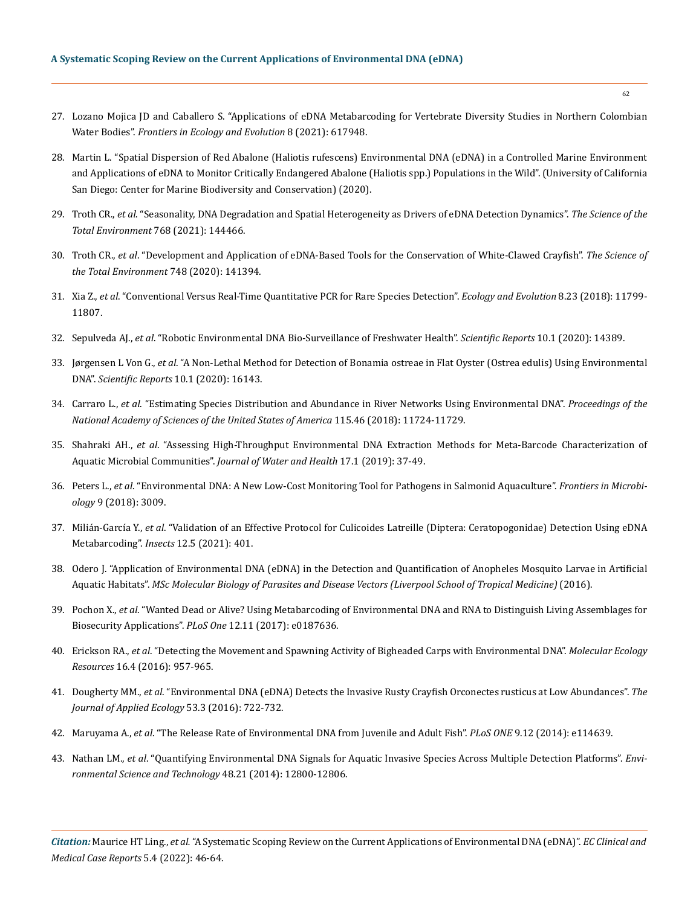- 27. [Lozano Mojica JD and Caballero S. "Applications of eDNA Metabarcoding for Vertebrate Diversity Studies in Northern Colombian](https://www.frontiersin.org/articles/10.3389/fevo.2020.617948/full) Water Bodies". *[Frontiers in Ecology and Evolution](https://www.frontiersin.org/articles/10.3389/fevo.2020.617948/full)* 8 (2021): 617948.
- 28. [Martin L. "Spatial Dispersion of Red Abalone \(Haliotis rufescens\) Environmental DNA \(eDNA\) in a Controlled Marine Environment](https://escholarship.org/uc/item/4ts0c9g8) [and Applications of eDNA to Monitor Critically Endangered Abalone \(Haliotis spp.\) Populations in the Wild". \(University of California](https://escholarship.org/uc/item/4ts0c9g8) [San Diego: Center for Marine Biodiversity and Conservation\) \(2020\).](https://escholarship.org/uc/item/4ts0c9g8)
- 29. Troth CR., *et al*[. "Seasonality, DNA Degradation and Spatial Heterogeneity as Drivers of eDNA Detection Dynamics".](https://www.sciencedirect.com/science/article/abs/pii/S0048969720379973) *The Science of the [Total Environment](https://www.sciencedirect.com/science/article/abs/pii/S0048969720379973)* 768 (2021): 144466.
- 30. Troth CR., *et al*[. "Development and Application of eDNA-Based Tools for the Conservation of White-Clawed Crayfish".](https://www.sciencedirect.com/science/article/abs/pii/S0048969720349238) *The Science of [the Total Environment](https://www.sciencedirect.com/science/article/abs/pii/S0048969720349238)* 748 (2020): 141394.
- 31. Xia Z., *et al*[. "Conventional Versus Real-Time Quantitative PCR for Rare Species Detection".](https://onlinelibrary.wiley.com/doi/full/10.1002/ece3.4636) *Ecology and Evolution* 8.23 (2018): 11799- [11807.](https://onlinelibrary.wiley.com/doi/full/10.1002/ece3.4636)
- 32. Sepulveda AJ., *et al*[. "Robotic Environmental DNA Bio-Surveillance of Freshwater Health".](https://www.nature.com/articles/s41598-020-71304-3) *Scientific Reports* 10.1 (2020): 14389.
- 33. Jørgensen L Von G., *et al*[. "A Non-Lethal Method for Detection of Bonamia ostreae in Flat Oyster \(Ostrea edulis\) Using Environmental](https://www.nature.com/articles/s41598-020-72715-y) DNA". *[Scientific Reports](https://www.nature.com/articles/s41598-020-72715-y)* 10.1 (2020): 16143.
- 34. Carraro L., *et al*[. "Estimating Species Distribution and Abundance in River Networks Using Environmental DNA".](https://www.pnas.org/doi/10.1073/pnas.1813843115) *Proceedings of the [National Academy of Sciences of the United States of America](https://www.pnas.org/doi/10.1073/pnas.1813843115)* 115.46 (2018): 11724-11729.
- 35. Shahraki AH., *et al*[. "Assessing High-Throughput Environmental DNA Extraction Methods for Meta-Barcode Characterization of](https://pubmed.ncbi.nlm.nih.gov/30758302/) Aquatic Microbial Communities". *[Journal of Water and Health](https://pubmed.ncbi.nlm.nih.gov/30758302/)* 17.1 (2019): 37-49.
- 36. Peters L., *et al*[. "Environmental DNA: A New Low-Cost Monitoring Tool for Pathogens in Salmonid Aquaculture".](https://pubmed.ncbi.nlm.nih.gov/30581425/) *Frontiers in Microbiology* [9 \(2018\): 3009.](https://pubmed.ncbi.nlm.nih.gov/30581425/)
- 37. Milián-García Y., *et al*[. "Validation of an Effective Protocol for Culicoides Latreille \(Diptera: Ceratopogonidae\) Detection Using eDNA](https://pubmed.ncbi.nlm.nih.gov/33946322/) Metabarcoding". *Insects* [12.5 \(2021\): 401.](https://pubmed.ncbi.nlm.nih.gov/33946322/)
- 38. [Odero J. "Application of Environmental DNA \(eDNA\) in the Detection and Quantification of Anopheles Mosquito Larvae in Artificial](https://wellcomeopenresearch.org/articles/3-26) Aquatic Habitats". *[MSc Molecular Biology of Parasites and Disease Vectors \(Liverpool School of Tropical Medicine\)](https://wellcomeopenresearch.org/articles/3-26)* (2016).
- 39. Pochon X., *et al*[. "Wanted Dead or Alive? Using Metabarcoding of Environmental DNA and RNA to Distinguish Living Assemblages for](https://journals.plos.org/plosone/article?id=10.1371/journal.pone.0187636) [Biosecurity Applications".](https://journals.plos.org/plosone/article?id=10.1371/journal.pone.0187636) *PLoS One* 12.11 (2017): e0187636.
- 40. Erickson RA., *et al*[. "Detecting the Movement and Spawning Activity of Bigheaded Carps with Environmental DNA".](https://onlinelibrary.wiley.com/doi/10.1111/1755-0998.12533) *Molecular Ecology Resources* [16.4 \(2016\): 957-965.](https://onlinelibrary.wiley.com/doi/10.1111/1755-0998.12533)
- 41. Dougherty MM., *et al*[. "Environmental DNA \(eDNA\) Detects the Invasive Rusty Crayfish Orconectes rusticus at Low Abundances".](https://besjournals.onlinelibrary.wiley.com/doi/full/10.1111/1365-2664.12621) *The [Journal of Applied Ecology](https://besjournals.onlinelibrary.wiley.com/doi/full/10.1111/1365-2664.12621)* 53.3 (2016): 722-732.
- 42. Maruyama A., *et al*[. "The Release Rate of Environmental DNA from Juvenile and Adult Fish".](https://journals.plos.org/plosone/article?id=10.1371/journal.pone.0114639) *PLoS ONE* 9.12 (2014): e114639.
- 43. Nathan LM., *et al*[. "Quantifying Environmental DNA Signals for Aquatic Invasive Species Across Multiple Detection Platforms".](https://pubs.acs.org/doi/abs/10.1021/es5034052) *Envi[ronmental Science and Technology](https://pubs.acs.org/doi/abs/10.1021/es5034052)* 48.21 (2014): 12800-12806.

*Citation:* Maurice HT Ling., *et al.* "A Systematic Scoping Review on the Current Applications of Environmental DNA (eDNA)". *EC Clinical and Medical Case Reports* 5.4 (2022): 46-64.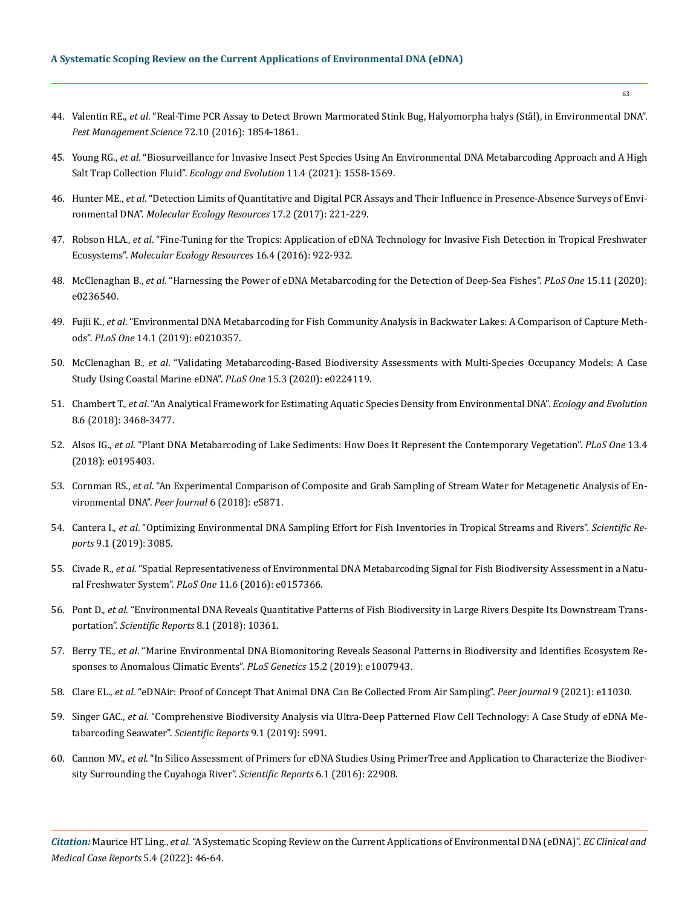- 44. Valentin RE., *et al*[. "Real-Time PCR Assay to Detect Brown Marmorated Stink Bug, Halyomorpha halys \(Stål\), in Environmental DNA".](https://pubmed.ncbi.nlm.nih.gov/26732613/) *[Pest Management Science](https://pubmed.ncbi.nlm.nih.gov/26732613/)* 72.10 (2016): 1854-1861.
- 45. Young RG., *et al*[. "Biosurveillance for Invasive Insect Pest Species Using An Environmental DNA Metabarcoding Approach and A High](https://onlinelibrary.wiley.com/doi/full/10.1002/ece3.7113) Salt Trap Collection Fluid". *[Ecology and Evolution](https://onlinelibrary.wiley.com/doi/full/10.1002/ece3.7113)* 11.4 (2021): 1558-1569.
- 46. Hunter ME., *et al*[. "Detection Limits of Quantitative and Digital PCR Assays and Their Influence in Presence-Absence Surveys of Envi](https://pubmed.ncbi.nlm.nih.gov/27768244/)ronmental DNA". *[Molecular Ecology Resources](https://pubmed.ncbi.nlm.nih.gov/27768244/)* 17.2 (2017): 221-229.
- 47. Robson HLA., *et al*[. "Fine-Tuning for the Tropics: Application of eDNA Technology for Invasive Fish Detection in Tropical Freshwater](https://pubmed.ncbi.nlm.nih.gov/26849294/) Ecosystems". *[Molecular Ecology Resources](https://pubmed.ncbi.nlm.nih.gov/26849294/)* 16.4 (2016): 922-932.
- 48. McClenaghan B., *et al*[. "Harnessing the Power of eDNA Metabarcoding for the Detection of Deep-Sea Fishes".](https://journals.plos.org/plosone/article?id=10.1371/journal.pone.0236540) *PLoS One* 15.11 (2020): [e0236540.](https://journals.plos.org/plosone/article?id=10.1371/journal.pone.0236540)
- 49. Fujii K., *et al*[. "Environmental DNA Metabarcoding for Fish Community Analysis in Backwater Lakes: A Comparison of Capture Meth](https://journals.plos.org/plosone/article?id=10.1371/journal.pone.0210357)ods". *PLoS One* [14.1 \(2019\): e0210357.](https://journals.plos.org/plosone/article?id=10.1371/journal.pone.0210357)
- 50. McClenaghan B., *et al*[. "Validating Metabarcoding-Based Biodiversity Assessments with Multi-Species Occupancy Models: A Case](https://journals.plos.org/plosone/article?id=10.1371/journal.pone.0224119) [Study Using Coastal Marine eDNA".](https://journals.plos.org/plosone/article?id=10.1371/journal.pone.0224119) *PLoS One* 15.3 (2020): e0224119.
- 51. Chambert T., *et al*[. "An Analytical Framework for Estimating Aquatic Species Density from Environmental DNA".](https://pubs.er.usgs.gov/publication/70195669) *Ecology and Evolution*  [8.6 \(2018\): 3468-3477.](https://pubs.er.usgs.gov/publication/70195669)
- 52. Alsos IG., *et al*[. "Plant DNA Metabarcoding of Lake Sediments: How Does It Represent the Contemporary Vegetation".](https://journals.plos.org/plosone/article?id=10.1371/journal.pone.0195403) *PLoS One* 13.4 [\(2018\): e0195403.](https://journals.plos.org/plosone/article?id=10.1371/journal.pone.0195403)
- 53. Cornman RS., *et al*[. "An Experimental Comparison of Composite and Grab Sampling of Stream Water for Metagenetic Analysis of En](https://pubs.er.usgs.gov/publication/70201380)[vironmental DNA".](https://pubs.er.usgs.gov/publication/70201380) *Peer Journal* 6 (2018): e5871.
- 54. Cantera I., *et al*[. "Optimizing Environmental DNA Sampling Effort for Fish Inventories in Tropical Streams and Rivers".](https://www.nature.com/articles/s41598-019-39399-5) *Scientific Reports* [9.1 \(2019\): 3085.](https://www.nature.com/articles/s41598-019-39399-5)
- 55. Civade R., *et al*[. "Spatial Representativeness of Environmental DNA Metabarcoding Signal for Fish Biodiversity Assessment in a Natu](https://journals.plos.org/plosone/article?id=10.1371/journal.pone.0157366)[ral Freshwater System".](https://journals.plos.org/plosone/article?id=10.1371/journal.pone.0157366) *PLoS One* 11.6 (2016): e0157366.
- 56. Pont D., *et al*[. "Environmental DNA Reveals Quantitative Patterns of Fish Biodiversity in Large Rivers Despite Its Downstream Trans](https://www.nature.com/articles/s41598-018-28424-8)portation". *[Scientific Reports](https://www.nature.com/articles/s41598-018-28424-8)* 8.1 (2018): 10361.
- 57. Berry TE., *et al*[. "Marine Environmental DNA Biomonitoring Reveals Seasonal Patterns in Biodiversity and Identifies Ecosystem Re](https://journals.plos.org/plosgenetics/article?id=10.1371/journal.pgen.1007943)[sponses to Anomalous Climatic Events".](https://journals.plos.org/plosgenetics/article?id=10.1371/journal.pgen.1007943) *PLoS Genetics* 15.2 (2019): e1007943.
- 58. Clare EL., *et al*[. "eDNAir: Proof of Concept That Animal DNA Can Be Collected From Air Sampling".](https://peerj.com/articles/11030/) *Peer Journal* 9 (2021): e11030.
- 59. Singer GAC., *et al*[. "Comprehensive Biodiversity Analysis via Ultra-Deep Patterned Flow Cell Technology: A Case Study of eDNA Me](https://www.nature.com/articles/s41598-019-42455-9)[tabarcoding Seawater".](https://www.nature.com/articles/s41598-019-42455-9) *Scientific Reports* 9.1 (2019): 5991.
- 60. Cannon MV., *et al*[. "In Silico Assessment of Primers for eDNA Studies Using PrimerTree and Application to Characterize the Biodiver](https://www.ncbi.nlm.nih.gov/pmc/articles/PMC4786790/)[sity Surrounding the Cuyahoga River".](https://www.ncbi.nlm.nih.gov/pmc/articles/PMC4786790/) *Scientific Reports* 6.1 (2016): 22908.

*Citation:* Maurice HT Ling., *et al.* "A Systematic Scoping Review on the Current Applications of Environmental DNA (eDNA)". *EC Clinical and Medical Case Reports* 5.4 (2022): 46-64.